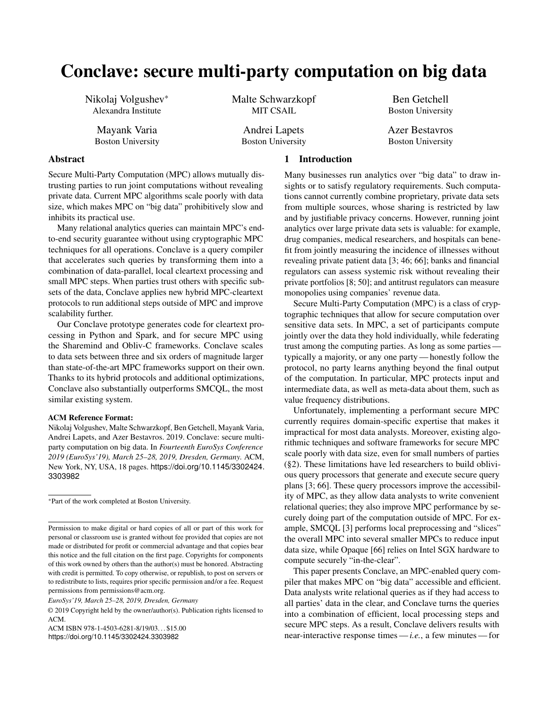# <span id="page-0-0"></span>Conclave: secure multi-party computation on big data

Nikolaj Volgushev\* Alexandra Institute

> Mayank Varia Boston University

Malte Schwarzkopf MIT CSAIL

> Andrei Lapets Boston University

Ben Getchell Boston University

Azer Bestavros Boston University

# Abstract

Secure Multi-Party Computation (MPC) allows mutually distrusting parties to run joint computations without revealing private data. Current MPC algorithms scale poorly with data size, which makes MPC on "big data" prohibitively slow and inhibits its practical use.

Many relational analytics queries can maintain MPC's endto-end security guarantee without using cryptographic MPC techniques for all operations. Conclave is a query compiler that accelerates such queries by transforming them into a combination of data-parallel, local cleartext processing and small MPC steps. When parties trust others with specific subsets of the data, Conclave applies new hybrid MPC-cleartext protocols to run additional steps outside of MPC and improve scalability further.

Our Conclave prototype generates code for cleartext processing in Python and Spark, and for secure MPC using the Sharemind and Obliv-C frameworks. Conclave scales to data sets between three and six orders of magnitude larger than state-of-the-art MPC frameworks support on their own. Thanks to its hybrid protocols and additional optimizations, Conclave also substantially outperforms SMCQL, the most similar existing system.

#### ACM Reference Format:

Nikolaj Volgushev, Malte Schwarzkopf, Ben Getchell, Mayank Varia, Andrei Lapets, and Azer Bestavros. 2019. Conclave: secure multiparty computation on big data. In *Fourteenth EuroSys Conference 2019 (EuroSys'19), March 25–28, 2019, Dresden, Germany.* ACM, New York, NY, USA, [18](#page-17-0) pages. [https://doi.org/10.1145/3302424.](https://doi.org/10.1145/3302424.3303982) [3303982](https://doi.org/10.1145/3302424.3303982)

\*Part of the work completed at Boston University.

*EuroSys'19, March 25–28, 2019, Dresden, Germany*

ACM ISBN 978-1-4503-6281-8/19/03. . . \$15.00 <https://doi.org/10.1145/3302424.3303982>

## 1 Introduction

Many businesses run analytics over "big data" to draw insights or to satisfy regulatory requirements. Such computations cannot currently combine proprietary, private data sets from multiple sources, whose sharing is restricted by law and by justifiable privacy concerns. However, running joint analytics over large private data sets is valuable: for example, drug companies, medical researchers, and hospitals can benefit from jointly measuring the incidence of illnesses without revealing private patient data [\[3;](#page-14-0) [46;](#page-16-0) [66\]](#page-17-1); banks and financial regulators can assess systemic risk without revealing their private portfolios [\[8;](#page-14-1) [50\]](#page-16-1); and antitrust regulators can measure monopolies using companies' revenue data.

Secure Multi-Party Computation (MPC) is a class of cryptographic techniques that allow for secure computation over sensitive data sets. In MPC, a set of participants compute jointly over the data they hold individually, while federating trust among the computing parties. As long as some parties typically a majority, or any one party — honestly follow the protocol, no party learns anything beyond the final output of the computation. In particular, MPC protects input and intermediate data, as well as meta-data about them, such as value frequency distributions.

Unfortunately, implementing a performant secure MPC currently requires domain-specific expertise that makes it impractical for most data analysts. Moreover, existing algorithmic techniques and software frameworks for secure MPC scale poorly with data size, even for small numbers of parties ([§2\)](#page-1-0). These limitations have led researchers to build oblivious query processors that generate and execute secure query plans [\[3;](#page-14-0) [66\]](#page-17-1). These query processors improve the accessibility of MPC, as they allow data analysts to write convenient relational queries; they also improve MPC performance by securely doing part of the computation outside of MPC. For example, SMCQL [\[3\]](#page-14-0) performs local preprocessing and "slices" the overall MPC into several smaller MPCs to reduce input data size, while Opaque [\[66\]](#page-17-1) relies on Intel SGX hardware to compute securely "in-the-clear".

This paper presents Conclave, an MPC-enabled query compiler that makes MPC on "big data" accessible and efficient. Data analysts write relational queries as if they had access to all parties' data in the clear, and Conclave turns the queries into a combination of efficient, local processing steps and secure MPC steps. As a result, Conclave delivers results with near-interactive response times —*i.e.*, a few minutes — for

Permission to make digital or hard copies of all or part of this work for personal or classroom use is granted without fee provided that copies are not made or distributed for profit or commercial advantage and that copies bear this notice and the full citation on the first page. Copyrights for components of this work owned by others than the author(s) must be honored. Abstracting with credit is permitted. To copy otherwise, or republish, to post on servers or to redistribute to lists, requires prior specific permission and/or a fee. Request permissions from permissions@acm.org.

<sup>©</sup> 2019 Copyright held by the owner/author(s). Publication rights licensed to ACM.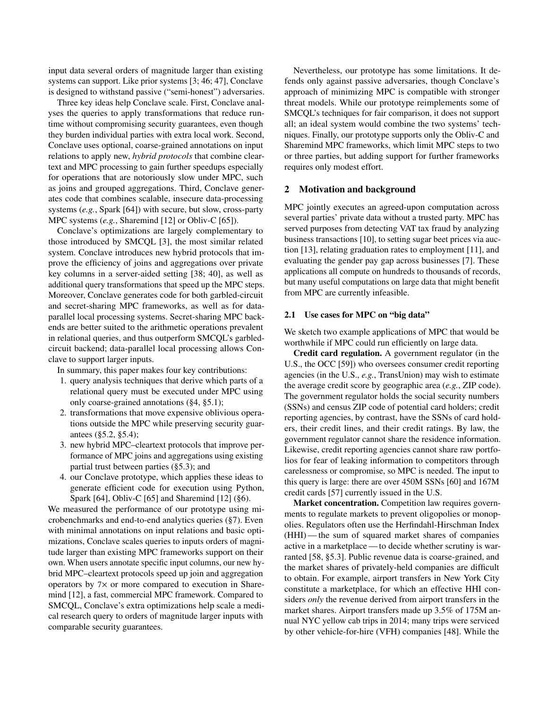input data several orders of magnitude larger than existing systems can support. Like prior systems [\[3;](#page-14-0) [46;](#page-16-0) [47\]](#page-16-2), Conclave is designed to withstand passive ("semi-honest") adversaries.

Three key ideas help Conclave scale. First, Conclave analyses the queries to apply transformations that reduce runtime without compromising security guarantees, even though they burden individual parties with extra local work. Second, Conclave uses optional, coarse-grained annotations on input relations to apply new, *hybrid protocols* that combine cleartext and MPC processing to gain further speedups especially for operations that are notoriously slow under MPC, such as joins and grouped aggregations. Third, Conclave generates code that combines scalable, insecure data-processing systems (*e.g.*, Spark [\[64\]](#page-16-3)) with secure, but slow, cross-party MPC systems (*e.g.*, Sharemind [\[12\]](#page-14-2) or Obliv-C [\[65\]](#page-17-2)).

Conclave's optimizations are largely complementary to those introduced by SMCQL [\[3\]](#page-14-0), the most similar related system. Conclave introduces new hybrid protocols that improve the efficiency of joins and aggregations over private key columns in a server-aided setting [\[38;](#page-15-0) [40\]](#page-15-1), as well as additional query transformations that speed up the MPC steps. Moreover, Conclave generates code for both garbled-circuit and secret-sharing MPC frameworks, as well as for dataparallel local processing systems. Secret-sharing MPC backends are better suited to the arithmetic operations prevalent in relational queries, and thus outperform SMCQL's garbledcircuit backend; data-parallel local processing allows Conclave to support larger inputs.

In summary, this paper makes four key contributions:

- 1. query analysis techniques that derive which parts of a relational query must be executed under MPC using only coarse-grained annotations ([§4,](#page-3-0) [§5.1\)](#page-5-0);
- 2. transformations that move expensive oblivious operations outside the MPC while preserving security guarantees ([§5.2,](#page-6-0) [§5.4\)](#page-8-0);
- 3. new hybrid MPC–cleartext protocols that improve performance of MPC joins and aggregations using existing partial trust between parties ([§5.3\)](#page-7-0); and
- 4. our Conclave prototype, which applies these ideas to generate efficient code for execution using Python, Spark [\[64\]](#page-16-3), Obliv-C [\[65\]](#page-17-2) and Sharemind [\[12\]](#page-14-2) ([§6\)](#page-9-0).

We measured the performance of our prototype using microbenchmarks and end-to-end analytics queries ([§7\)](#page-9-1). Even with minimal annotations on input relations and basic optimizations, Conclave scales queries to inputs orders of magnitude larger than existing MPC frameworks support on their own. When users annotate specific input columns, our new hybrid MPC–cleartext protocols speed up join and aggregation operators by 7× or more compared to execution in Sharemind [\[12\]](#page-14-2), a fast, commercial MPC framework. Compared to SMCQL, Conclave's extra optimizations help scale a medical research query to orders of magnitude larger inputs with comparable security guarantees.

Nevertheless, our prototype has some limitations. It defends only against passive adversaries, though Conclave's approach of minimizing MPC is compatible with stronger threat models. While our prototype reimplements some of SMCQL's techniques for fair comparison, it does not support all; an ideal system would combine the two systems' techniques. Finally, our prototype supports only the Obliv-C and Sharemind MPC frameworks, which limit MPC steps to two or three parties, but adding support for further frameworks requires only modest effort.

#### <span id="page-1-0"></span>2 Motivation and background

MPC jointly executes an agreed-upon computation across several parties' private data without a trusted party. MPC has served purposes from detecting VAT tax fraud by analyzing business transactions [\[10\]](#page-14-3), to setting sugar beet prices via auction [\[13\]](#page-14-4), relating graduation rates to employment [\[11\]](#page-14-5), and evaluating the gender pay gap across businesses [\[7\]](#page-14-6). These applications all compute on hundreds to thousands of records, but many useful computations on large data that might benefit from MPC are currently infeasible.

## <span id="page-1-1"></span>2.1 Use cases for MPC on "big data"

We sketch two example applications of MPC that would be worthwhile if MPC could run efficiently on large data.

Credit card regulation. A government regulator (in the U.S., the OCC [\[59\]](#page-16-4)) who oversees consumer credit reporting agencies (in the U.S., *e.g.*, TransUnion) may wish to estimate the average credit score by geographic area (*e.g.*, ZIP code). The government regulator holds the social security numbers (SSNs) and census ZIP code of potential card holders; credit reporting agencies, by contrast, have the SSNs of card holders, their credit lines, and their credit ratings. By law, the government regulator cannot share the residence information. Likewise, credit reporting agencies cannot share raw portfolios for fear of leaking information to competitors through carelessness or compromise, so MPC is needed. The input to this query is large: there are over 450M SSNs [\[60\]](#page-16-5) and 167M credit cards [\[57\]](#page-16-6) currently issued in the U.S.

Market concentration. Competition law requires governments to regulate markets to prevent oligopolies or monopolies. Regulators often use the Herfindahl-Hirschman Index (HHI) — the sum of squared market shares of companies active in a marketplace — to decide whether scrutiny is warranted [\[58,](#page-16-7) §5.3]. Public revenue data is coarse-grained, and the market shares of privately-held companies are difficult to obtain. For example, airport transfers in New York City constitute a marketplace, for which an effective HHI considers *only* the revenue derived from airport transfers in the market shares. Airport transfers made up 3.5% of 175M annual NYC yellow cab trips in 2014; many trips were serviced by other vehicle-for-hire (VFH) companies [\[48\]](#page-16-8). While the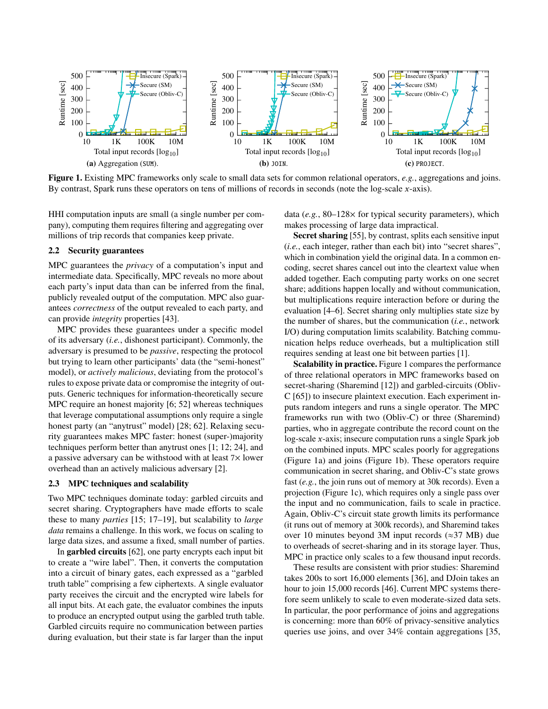<span id="page-2-0"></span>

Figure 1. Existing MPC frameworks only scale to small data sets for common relational operators, *e.g.*, aggregations and joins. By contrast, Spark runs these operators on tens of millions of records in seconds (note the log-scale x-axis).

HHI computation inputs are small (a single number per company), computing them requires filtering and aggregating over millions of trip records that companies keep private.

## 2.2 Security guarantees

MPC guarantees the *privacy* of a computation's input and intermediate data. Specifically, MPC reveals no more about each party's input data than can be inferred from the final, publicly revealed output of the computation. MPC also guarantees *correctness* of the output revealed to each party, and can provide *integrity* properties [\[43\]](#page-16-9).

MPC provides these guarantees under a specific model of its adversary (*i.e.*, dishonest participant). Commonly, the adversary is presumed to be *passive*, respecting the protocol but trying to learn other participants' data (the "semi-honest" model), or *actively malicious*, deviating from the protocol's rules to expose private data or compromise the integrity of outputs. Generic techniques for information-theoretically secure MPC require an honest majority [\[6;](#page-14-7) [52\]](#page-16-10) whereas techniques that leverage computational assumptions only require a single honest party (an "anytrust" model) [\[28;](#page-15-2) [62\]](#page-16-11). Relaxing security guarantees makes MPC faster: honest (super-)majority techniques perform better than anytrust ones [\[1;](#page-14-8) [12;](#page-14-2) [24\]](#page-15-3), and a passive adversary can be withstood with at least 7× lower overhead than an actively malicious adversary [\[2\]](#page-14-9).

#### <span id="page-2-1"></span>2.3 MPC techniques and scalability

Two MPC techniques dominate today: garbled circuits and secret sharing. Cryptographers have made efforts to scale these to many *parties* [\[15;](#page-14-10) [17](#page-14-11)[–19\]](#page-14-12), but scalability to *large data* remains a challenge. In this work, we focus on scaling to large data sizes, and assume a fixed, small number of parties.

In garbled circuits [\[62\]](#page-16-11), one party encrypts each input bit to create a "wire label". Then, it converts the computation into a circuit of binary gates, each expressed as a "garbled truth table" comprising a few ciphertexts. A single evaluator party receives the circuit and the encrypted wire labels for all input bits. At each gate, the evaluator combines the inputs to produce an encrypted output using the garbled truth table. Garbled circuits require no communication between parties during evaluation, but their state is far larger than the input

data (*e.g.*, 80–128× for typical security parameters), which makes processing of large data impractical.

Secret sharing [\[55\]](#page-16-12), by contrast, splits each sensitive input (*i.e.*, each integer, rather than each bit) into "secret shares", which in combination yield the original data. In a common encoding, secret shares cancel out into the cleartext value when added together. Each computing party works on one secret share; additions happen locally and without communication, but multiplications require interaction before or during the evaluation [\[4–](#page-14-13)[6\]](#page-14-7). Secret sharing only multiplies state size by the number of shares, but the communication (*i.e.*, network I/O) during computation limits scalability. Batching communication helps reduce overheads, but a multiplication still requires sending at least one bit between parties [\[1\]](#page-14-8).

Scalability in practice. Figure [1](#page-2-0) compares the performance of three relational operators in MPC frameworks based on secret-sharing (Sharemind [\[12\]](#page-14-2)) and garbled-circuits (Obliv-C [\[65\]](#page-17-2)) to insecure plaintext execution. Each experiment inputs random integers and runs a single operator. The MPC frameworks run with two (Obliv-C) or three (Sharemind) parties, who in aggregate contribute the record count on the  $log$ -scale x-axis; insecure computation runs a single Spark job on the combined inputs. MPC scales poorly for aggregations (Figure [1a\)](#page-2-0) and joins (Figure [1b\)](#page-2-0). These operators require communication in secret sharing, and Obliv-C's state grows fast (*e.g.*, the join runs out of memory at 30k records). Even a projection (Figure [1c\)](#page-2-0), which requires only a single pass over the input and no communication, fails to scale in practice. Again, Obliv-C's circuit state growth limits its performance (it runs out of memory at 300k records), and Sharemind takes over 10 minutes beyond 3M input records (≈37 MB) due to overheads of secret-sharing and in its storage layer. Thus, MPC in practice only scales to a few thousand input records.

These results are consistent with prior studies: Sharemind takes 200s to sort 16,000 elements [\[36\]](#page-15-4), and DJoin takes an hour to join 15,000 records [\[46\]](#page-16-0). Current MPC systems therefore seem unlikely to scale to even moderate-sized data sets. In particular, the poor performance of joins and aggregations is concerning: more than 60% of privacy-sensitive analytics queries use joins, and over 34% contain aggregations [\[35,](#page-15-5)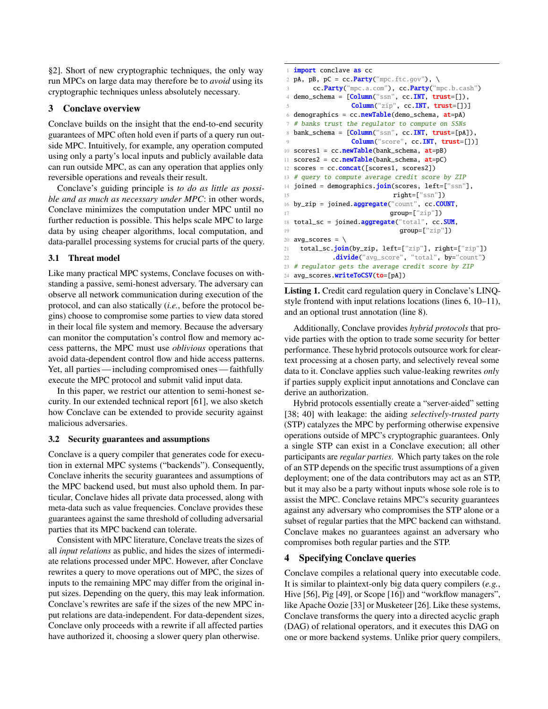§2]. Short of new cryptographic techniques, the only way run MPCs on large data may therefore be to *avoid* using its cryptographic techniques unless absolutely necessary.

# 3 Conclave overview

Conclave builds on the insight that the end-to-end security guarantees of MPC often hold even if parts of a query run outside MPC. Intuitively, for example, any operation computed using only a party's local inputs and publicly available data can run outside MPC, as can any operation that applies only reversible operations and reveals their result.

Conclave's guiding principle is *to do as little as possible and as much as necessary under MPC*: in other words, Conclave minimizes the computation under MPC until no further reduction is possible. This helps scale MPC to large data by using cheaper algorithms, local computation, and data-parallel processing systems for crucial parts of the query.

## 3.1 Threat model

Like many practical MPC systems, Conclave focuses on withstanding a passive, semi-honest adversary. The adversary can observe all network communication during execution of the protocol, and can also statically (*i.e.*, before the protocol begins) choose to compromise some parties to view data stored in their local file system and memory. Because the adversary can monitor the computation's control flow and memory access patterns, the MPC must use *oblivious* operations that avoid data-dependent control flow and hide access patterns. Yet, all parties — including compromised ones — faithfully execute the MPC protocol and submit valid input data.

In this paper, we restrict our attention to semi-honest security. In our extended technical report [\[61\]](#page-16-13), we also sketch how Conclave can be extended to provide security against malicious adversaries.

## 3.2 Security guarantees and assumptions

Conclave is a query compiler that generates code for execution in external MPC systems ("backends"). Consequently, Conclave inherits the security guarantees and assumptions of the MPC backend used, but must also uphold them. In particular, Conclave hides all private data processed, along with meta-data such as value frequencies. Conclave provides these guarantees against the same threshold of colluding adversarial parties that its MPC backend can tolerate.

Consistent with MPC literature, Conclave treats the sizes of all *input relations* as public, and hides the sizes of intermediate relations processed under MPC. However, after Conclave rewrites a query to move operations out of MPC, the sizes of inputs to the remaining MPC may differ from the original input sizes. Depending on the query, this may leak information. Conclave's rewrites are safe if the sizes of the new MPC input relations are data-independent. For data-dependent sizes, Conclave only proceeds with a rewrite if all affected parties have authorized it, choosing a slower query plan otherwise.

```
import conclave as cc
2 pA, pB, pC = cc. Party("mpc.ftc.gov"), \
3 cc.Party("mpc.a.com"), cc.Party("mpc.b.cash")
4 demo_schema = [Column("ssn", cc.INT, trust=[]),5 Column("zip", cc.INT, trust=[])]
6 demographics = cc.newTable(demo_schema, at=pA)
7 # banks trust the regulator to compute on SSNs
8 bank_schema = [Column("ssn", cc.INT, trust=[pA]),9 Column("score", cc.INT, trust=[])]
10 scores1 = cc.newTable(bank_schema, at=pB)
11 scores2 = cc.newTable(bank_schema, at=pC)
12 scores = cc.concat([scores1, scores2])
13 # query to compute average credit score by ZIP
14 joined = demographics.join(scores, left=["ssn"],
15 right=["ssn"])
16 by_zip = joined.aggregate("count", cc.COUNT,
17 group=["zip"])
18 total_sc = joined.aggregate("total", cc.SUM,
19 group=["zip"])
20 avg\_scores = \setminus21 total_sc.join(by_zip, left=["zip"], right=["zip"])
22 divide("avg_score", "total", by="count")
23 # regulator gets the average credit score by ZIP
24 avg_scores.writeToCSV(to=[pA])
```
Listing 1. Credit card regulation query in Conclave's LINQstyle frontend with input relations locations (lines 6, 10–11), and an optional trust annotation (line 8).

Additionally, Conclave provides *hybrid protocols* that provide parties with the option to trade some security for better performance. These hybrid protocols outsource work for cleartext processing at a chosen party, and selectively reveal some data to it. Conclave applies such value-leaking rewrites *only* if parties supply explicit input annotations and Conclave can derive an authorization.

Hybrid protocols essentially create a "server-aided" setting [\[38;](#page-15-0) [40\]](#page-15-1) with leakage: the aiding *selectively-trusted party* (STP) catalyzes the MPC by performing otherwise expensive operations outside of MPC's cryptographic guarantees. Only a single STP can exist in a Conclave execution; all other participants are *regular parties*. Which party takes on the role of an STP depends on the specific trust assumptions of a given deployment; one of the data contributors may act as an STP, but it may also be a party without inputs whose sole role is to assist the MPC. Conclave retains MPC's security guarantees against any adversary who compromises the STP alone or a subset of regular parties that the MPC backend can withstand. Conclave makes no guarantees against an adversary who compromises both regular parties and the STP.

# <span id="page-3-0"></span>4 Specifying Conclave queries

Conclave compiles a relational query into executable code. It is similar to plaintext-only big data query compilers (*e.g.*, Hive [\[56\]](#page-16-14), Pig [\[49\]](#page-16-15), or Scope [\[16\]](#page-14-14)) and "workflow managers", like Apache Oozie [\[33\]](#page-15-6) or Musketeer [\[26\]](#page-15-7). Like these systems, Conclave transforms the query into a directed acyclic graph (DAG) of relational operators, and it executes this DAG on one or more backend systems. Unlike prior query compilers,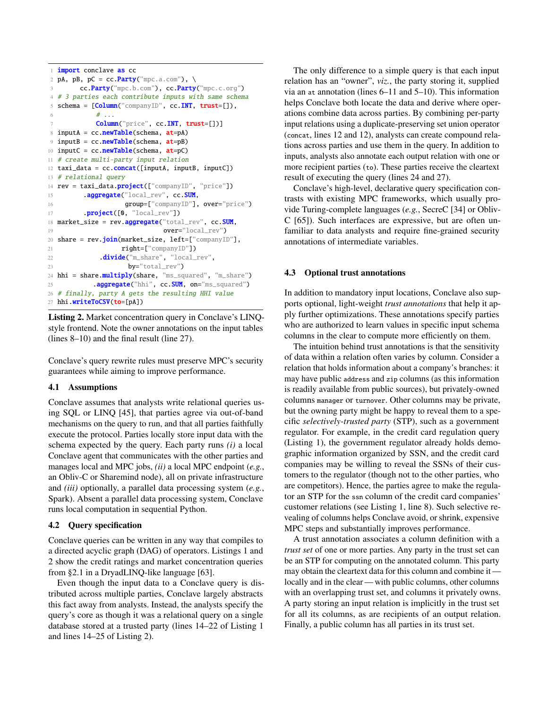```
1 import conclave as co
2 pA, pB, pC = cc. Party("mpc.a.com"), \
3 cc.Party("mpc.b.com"), cc.Party("mpc.c.org")
4 # 3 parties each contribute inputs with same schema
5 schema = [Column("companyID", cc.INT, trust=[]),6 # \dots7 Column ("price", cc. INT, trust=[])]
8 inputA = cc<b>.newTable</b>(schema, <b>at</b>=pA)9 inputB = cc.newTable(schema, at=pB)
10 inputC = cc<b>.newTable</b>(schema, <b>at</b>=pC)11 # create multi-party input relation
12 taxi_data = cc.concat([inputA, inputB, inputC])
13 # relational query
14 rev = taxi_data.project(["companyID", "price"])
15 .aggregate("local_rev", cc.SUM,
16 group=["companyID"], over="price")
17 project([0, "local_rev"])
18 market_size = rev.aggregate("total_rev", cc.SUM,
19 over="local_rev")
20 share = rev.join(market_size, left=["companyID"],
21 right=["companyID"])
22 divide("m_share", "local_rev",
23 by="total_rev")
24 hhi = share.multiply(share, "ms_squared", "m_share")
25 aggregate("hhi", cc.SUM, on="ms_squared")
26 # finally, party A gets the resulting HHI value
27 hhi.writeToCSV(to=[pA])
```
Listing 2. Market concentration query in Conclave's LINQstyle frontend. Note the owner annotations on the input tables (lines 8–10) and the final result (line 27).

Conclave's query rewrite rules must preserve MPC's security guarantees while aiming to improve performance.

#### 4.1 Assumptions

Conclave assumes that analysts write relational queries using SQL or LINQ [\[45\]](#page-16-16), that parties agree via out-of-band mechanisms on the query to run, and that all parties faithfully execute the protocol. Parties locally store input data with the schema expected by the query. Each party runs *(i)* a local Conclave agent that communicates with the other parties and manages local and MPC jobs, *(ii)* a local MPC endpoint (*e.g.*, an Obliv-C or Sharemind node), all on private infrastructure and *(iii)* optionally, a parallel data processing system (*e.g.*, Spark). Absent a parallel data processing system, Conclave runs local computation in sequential Python.

## 4.2 Query specification

Conclave queries can be written in any way that compiles to a directed acyclic graph (DAG) of operators. Listings [1](#page-3-1) and [2](#page-4-0) show the credit ratings and market concentration queries from [§2.1](#page-1-1) in a DryadLINQ-like language [\[63\]](#page-16-17).

Even though the input data to a Conclave query is distributed across multiple parties, Conclave largely abstracts this fact away from analysts. Instead, the analysts specify the query's core as though it was a relational query on a single database stored at a trusted party (lines 14–22 of Listing [1](#page-3-1) and lines 14–25 of Listing [2\)](#page-4-0).

The only difference to a simple query is that each input relation has an "owner", *viz.*, the party storing it, supplied via an at annotation (lines 6–11 and 5–10). This information helps Conclave both locate the data and derive where operations combine data across parties. By combining per-party input relations using a duplicate-preserving set union operator (concat, lines 12 and 12), analysts can create compound relations across parties and use them in the query. In addition to inputs, analysts also annotate each output relation with one or more recipient parties (to). These parties receive the cleartext result of executing the query (lines 24 and 27).

Conclave's high-level, declarative query specification contrasts with existing MPC frameworks, which usually provide Turing-complete languages (*e.g.*, SecreC [\[34\]](#page-15-8) or Obliv-C [\[65\]](#page-17-2)). Such interfaces are expressive, but are often unfamiliar to data analysts and require fine-grained security annotations of intermediate variables.

#### <span id="page-4-1"></span>4.3 Optional trust annotations

In addition to mandatory input locations, Conclave also supports optional, light-weight *trust annotations* that help it apply further optimizations. These annotations specify parties who are authorized to learn values in specific input schema columns in the clear to compute more efficiently on them.

The intuition behind trust annotations is that the sensitivity of data within a relation often varies by column. Consider a relation that holds information about a company's branches: it may have public address and zip columns (as this information is readily available from public sources), but privately-owned columns manager or turnover. Other columns may be private, but the owning party might be happy to reveal them to a specific *selectively-trusted party* (STP), such as a government regulator. For example, in the credit card regulation query (Listing [1\)](#page-3-1), the government regulator already holds demographic information organized by SSN, and the credit card companies may be willing to reveal the SSNs of their customers to the regulator (though not to the other parties, who are competitors). Hence, the parties agree to make the regulator an STP for the ssn column of the credit card companies' customer relations (see Listing [1,](#page-3-1) line 8). Such selective revealing of columns helps Conclave avoid, or shrink, expensive MPC steps and substantially improves performance.

A trust annotation associates a column definition with a *trust set* of one or more parties. Any party in the trust set can be an STP for computing on the annotated column. This party may obtain the cleartext data for this column and combine it locally and in the clear — with public columns, other columns with an overlapping trust set, and columns it privately owns. A party storing an input relation is implicitly in the trust set for all its columns, as are recipients of an output relation. Finally, a public column has all parties in its trust set.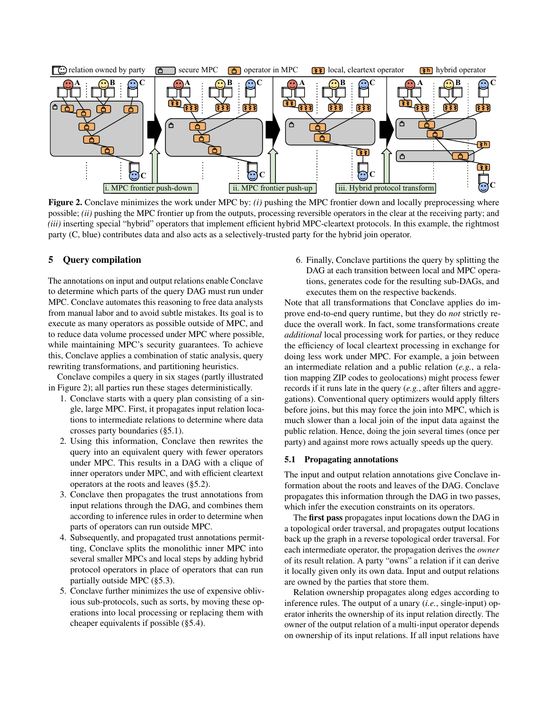<span id="page-5-1"></span>

Figure 2. Conclave minimizes the work under MPC by: *(i)* pushing the MPC frontier down and locally preprocessing where possible; *(ii)* pushing the MPC frontier up from the outputs, processing reversible operators in the clear at the receiving party; and *(iii)* inserting special "hybrid" operators that implement efficient hybrid MPC-cleartext protocols. In this example, the rightmost party (C, blue) contributes data and also acts as a selectively-trusted party for the hybrid join operator.

## 5 Query compilation

The annotations on input and output relations enable Conclave to determine which parts of the query DAG must run under MPC. Conclave automates this reasoning to free data analysts from manual labor and to avoid subtle mistakes. Its goal is to execute as many operators as possible outside of MPC, and to reduce data volume processed under MPC where possible, while maintaining MPC's security guarantees. To achieve this, Conclave applies a combination of static analysis, query rewriting transformations, and partitioning heuristics.

Conclave compiles a query in six stages (partly illustrated in Figure [2\)](#page-5-1); all parties run these stages deterministically.

- 1. Conclave starts with a query plan consisting of a single, large MPC. First, it propagates input relation locations to intermediate relations to determine where data crosses party boundaries ([§5.1\)](#page-5-0).
- 2. Using this information, Conclave then rewrites the query into an equivalent query with fewer operators under MPC. This results in a DAG with a clique of inner operators under MPC, and with efficient cleartext operators at the roots and leaves ([§5.2\)](#page-6-0).
- 3. Conclave then propagates the trust annotations from input relations through the DAG, and combines them according to inference rules in order to determine when parts of operators can run outside MPC.
- 4. Subsequently, and propagated trust annotations permitting, Conclave splits the monolithic inner MPC into several smaller MPCs and local steps by adding hybrid protocol operators in place of operators that can run partially outside MPC ([§5.3\)](#page-7-0).
- 5. Conclave further minimizes the use of expensive oblivious sub-protocols, such as sorts, by moving these operations into local processing or replacing them with cheaper equivalents if possible ([§5.4\)](#page-8-0).

6. Finally, Conclave partitions the query by splitting the DAG at each transition between local and MPC operations, generates code for the resulting sub-DAGs, and executes them on the respective backends.

Note that all transformations that Conclave applies do improve end-to-end query runtime, but they do *not* strictly reduce the overall work. In fact, some transformations create *additional* local processing work for parties, or they reduce the efficiency of local cleartext processing in exchange for doing less work under MPC. For example, a join between an intermediate relation and a public relation (*e.g.*, a relation mapping ZIP codes to geolocations) might process fewer records if it runs late in the query (*e.g.*, after filters and aggregations). Conventional query optimizers would apply filters before joins, but this may force the join into MPC, which is much slower than a local join of the input data against the public relation. Hence, doing the join several times (once per party) and against more rows actually speeds up the query.

## <span id="page-5-0"></span>5.1 Propagating annotations

The input and output relation annotations give Conclave information about the roots and leaves of the DAG. Conclave propagates this information through the DAG in two passes, which infer the execution constraints on its operators.

The first pass propagates input locations down the DAG in a topological order traversal, and propagates output locations back up the graph in a reverse topological order traversal. For each intermediate operator, the propagation derives the *owner* of its result relation. A party "owns" a relation if it can derive it locally given only its own data. Input and output relations are owned by the parties that store them.

Relation ownership propagates along edges according to inference rules. The output of a unary (*i.e.*, single-input) operator inherits the ownership of its input relation directly. The owner of the output relation of a multi-input operator depends on ownership of its input relations. If all input relations have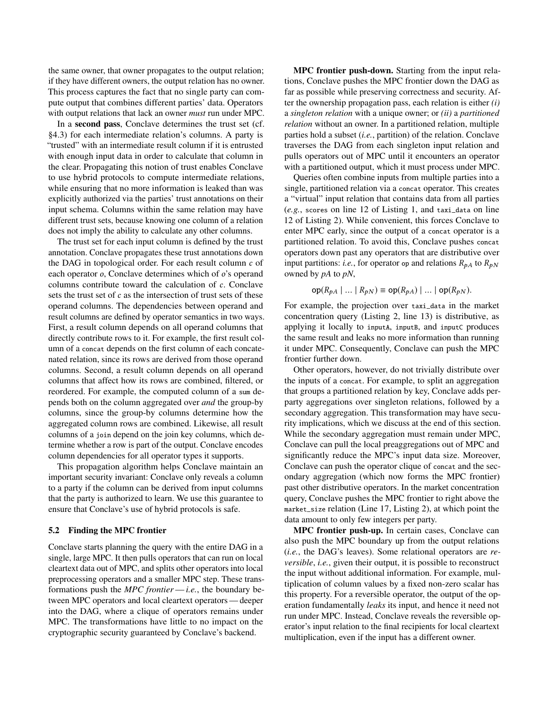the same owner, that owner propagates to the output relation; if they have different owners, the output relation has no owner. This process captures the fact that no single party can compute output that combines different parties' data. Operators with output relations that lack an owner *must* run under MPC.

In a second pass, Conclave determines the trust set (cf. [§4.3\)](#page-4-1) for each intermediate relation's columns. A party is "trusted" with an intermediate result column if it is entrusted with enough input data in order to calculate that column in the clear. Propagating this notion of trust enables Conclave to use hybrid protocols to compute intermediate relations, while ensuring that no more information is leaked than was explicitly authorized via the parties' trust annotations on their input schema. Columns within the same relation may have different trust sets, because knowing one column of a relation does not imply the ability to calculate any other columns.

The trust set for each input column is defined by the trust annotation. Conclave propagates these trust annotations down the DAG in topological order. For each result column  $c$  of each operator o, Conclave determines which of o's operand columns contribute toward the calculation of c. Conclave sets the trust set of c as the intersection of trust sets of these operand columns. The dependencies between operand and result columns are defined by operator semantics in two ways. First, a result column depends on all operand columns that directly contribute rows to it. For example, the first result column of a concat depends on the first column of each concatenated relation, since its rows are derived from those operand columns. Second, a result column depends on all operand columns that affect how its rows are combined, filtered, or reordered. For example, the computed column of a sum depends both on the column aggregated over *and* the group-by columns, since the group-by columns determine how the aggregated column rows are combined. Likewise, all result columns of a join depend on the join key columns, which determine whether a row is part of the output. Conclave encodes column dependencies for all operator types it supports.

This propagation algorithm helps Conclave maintain an important security invariant: Conclave only reveals a column to a party if the column can be derived from input columns that the party is authorized to learn. We use this guarantee to ensure that Conclave's use of hybrid protocols is safe.

#### <span id="page-6-0"></span>5.2 Finding the MPC frontier

Conclave starts planning the query with the entire DAG in a single, large MPC. It then pulls operators that can run on local cleartext data out of MPC, and splits other operators into local preprocessing operators and a smaller MPC step. These transformations push the *MPC frontier* —*i.e.*, the boundary between MPC operators and local cleartext operators — deeper into the DAG, where a clique of operators remains under MPC. The transformations have little to no impact on the cryptographic security guaranteed by Conclave's backend.

MPC frontier push-down. Starting from the input relations, Conclave pushes the MPC frontier down the DAG as far as possible while preserving correctness and security. After the ownership propagation pass, each relation is either *(i)* a *singleton relation* with a unique owner; or *(ii)* a *partitioned relation* without an owner. In a partitioned relation, multiple parties hold a subset (*i.e.*, partition) of the relation. Conclave traverses the DAG from each singleton input relation and pulls operators out of MPC until it encounters an operator with a partitioned output, which it must process under MPC.

Queries often combine inputs from multiple parties into a single, partitioned relation via a concat operator. This creates a "virtual" input relation that contains data from all parties (*e.g.*, scores on line 12 of Listing [1,](#page-3-1) and taxi\_data on line 12 of Listing [2\)](#page-4-0). While convenient, this forces Conclave to enter MPC early, since the output of a concat operator is a partitioned relation. To avoid this, Conclave pushes concat operators down past any operators that are distributive over input partitions: *i.e.*, for operator op and relations  $R_{pA}$  to  $R_{pN}$ owned by *pA* to *pN*,

$$
\operatorname{op}(R_{pA} \mid \dots \mid R_{pN}) \equiv \operatorname{op}(R_{pA}) \mid \dots \mid \operatorname{op}(R_{pN}).
$$

For example, the projection over taxi\_data in the market concentration query (Listing [2,](#page-4-0) line 13) is distributive, as applying it locally to inputA, inputB, and inputC produces the same result and leaks no more information than running it under MPC. Consequently, Conclave can push the MPC frontier further down.

Other operators, however, do not trivially distribute over the inputs of a concat. For example, to split an aggregation that groups a partitioned relation by key, Conclave adds perparty aggregations over singleton relations, followed by a secondary aggregation. This transformation may have security implications, which we discuss at the end of this section. While the secondary aggregation must remain under MPC, Conclave can pull the local preaggregations out of MPC and significantly reduce the MPC's input data size. Moreover, Conclave can push the operator clique of concat and the secondary aggregation (which now forms the MPC frontier) past other distributive operators. In the market concentration query, Conclave pushes the MPC frontier to right above the market\_size relation (Line 17, Listing [2\)](#page-4-0), at which point the data amount to only few integers per party.

MPC frontier push-up. In certain cases, Conclave can also push the MPC boundary up from the output relations (*i.e.*, the DAG's leaves). Some relational operators are *reversible*, *i.e.*, given their output, it is possible to reconstruct the input without additional information. For example, multiplication of column values by a fixed non-zero scalar has this property. For a reversible operator, the output of the operation fundamentally *leaks* its input, and hence it need not run under MPC. Instead, Conclave reveals the reversible operator's input relation to the final recipients for local cleartext multiplication, even if the input has a different owner.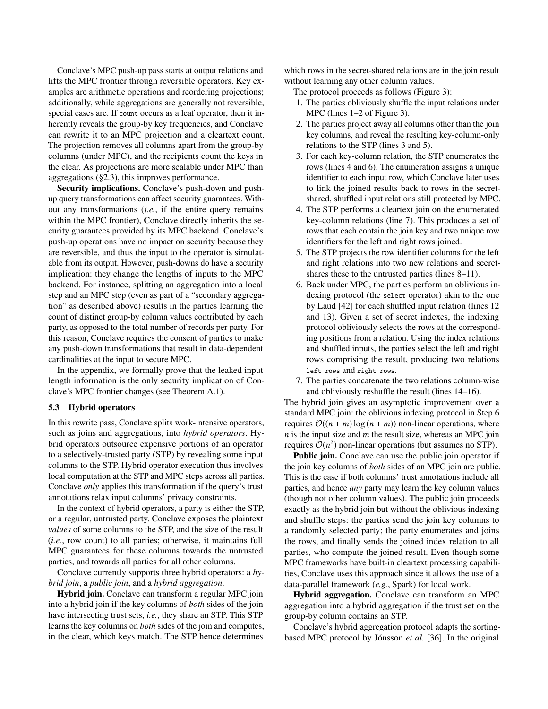Conclave's MPC push-up pass starts at output relations and lifts the MPC frontier through reversible operators. Key examples are arithmetic operations and reordering projections; additionally, while aggregations are generally not reversible, special cases are. If count occurs as a leaf operator, then it inherently reveals the group-by key frequencies, and Conclave can rewrite it to an MPC projection and a cleartext count. The projection removes all columns apart from the group-by columns (under MPC), and the recipients count the keys in the clear. As projections are more scalable under MPC than aggregations ([§2.3\)](#page-2-1), this improves performance.

Security implications. Conclave's push-down and pushup query transformations can affect security guarantees. Without any transformations (*i.e.*, if the entire query remains within the MPC frontier), Conclave directly inherits the security guarantees provided by its MPC backend. Conclave's push-up operations have no impact on security because they are reversible, and thus the input to the operator is simulatable from its output. However, push-downs do have a security implication: they change the lengths of inputs to the MPC backend. For instance, splitting an aggregation into a local step and an MPC step (even as part of a "secondary aggregation" as described above) results in the parties learning the count of distinct group-by column values contributed by each party, as opposed to the total number of records per party. For this reason, Conclave requires the consent of parties to make any push-down transformations that result in data-dependent cardinalities at the input to secure MPC.

In the appendix, we formally prove that the leaked input length information is the only security implication of Conclave's MPC frontier changes (see Theorem [A.1\)](#page-12-0).

#### <span id="page-7-0"></span>5.3 Hybrid operators

In this rewrite pass, Conclave splits work-intensive operators, such as joins and aggregations, into *hybrid operators*. Hybrid operators outsource expensive portions of an operator to a selectively-trusted party (STP) by revealing some input columns to the STP. Hybrid operator execution thus involves local computation at the STP and MPC steps across all parties. Conclave *only* applies this transformation if the query's trust annotations relax input columns' privacy constraints.

In the context of hybrid operators, a party is either the STP, or a regular, untrusted party. Conclave exposes the plaintext *values* of some columns to the STP, and the size of the result (*i.e.*, row count) to all parties; otherwise, it maintains full MPC guarantees for these columns towards the untrusted parties, and towards all parties for all other columns.

Conclave currently supports three hybrid operators: a *hybrid join*, a *public join*, and a *hybrid aggregation*.

Hybrid join. Conclave can transform a regular MPC join into a hybrid join if the key columns of *both* sides of the join have intersecting trust sets, *i.e.*, they share an STP. This STP learns the key columns on *both* sides of the join and computes, in the clear, which keys match. The STP hence determines

which rows in the secret-shared relations are in the join result without learning any other column values.

The protocol proceeds as follows (Figure [3\)](#page-8-1):

- 1. The parties obliviously shuffle the input relations under MPC (lines 1–2 of Figure [3\)](#page-8-1).
- <span id="page-7-1"></span>2. The parties project away all columns other than the join key columns, and reveal the resulting key-column-only relations to the STP (lines 3 and 5).
- 3. For each key-column relation, the STP enumerates the rows (lines 4 and 6). The enumeration assigns a unique identifier to each input row, which Conclave later uses to link the joined results back to rows in the secretshared, shuffled input relations still protected by MPC.
- 4. The STP performs a cleartext join on the enumerated key-column relations (line 7). This produces a set of rows that each contain the join key and two unique row identifiers for the left and right rows joined.
- <span id="page-7-2"></span>5. The STP projects the row identifier columns for the left and right relations into two new relations and secretshares these to the untrusted parties (lines 8–11).
- 6. Back under MPC, the parties perform an oblivious indexing protocol (the select operator) akin to the one by Laud [\[42\]](#page-16-18) for each shuffled input relation (lines 12 and 13). Given a set of secret indexes, the indexing protocol obliviously selects the rows at the corresponding positions from a relation. Using the index relations and shuffled inputs, the parties select the left and right rows comprising the result, producing two relations left\_rows and right\_rows.
- <span id="page-7-3"></span>7. The parties concatenate the two relations column-wise and obliviously reshuffle the result (lines 14–16).

The hybrid join gives an asymptotic improvement over a standard MPC join: the oblivious indexing protocol in Step 6 requires  $\mathcal{O}((n + m) \log(n + m))$  non-linear operations, where  $n$  is the input size and  $m$  the result size, whereas an MPC join requires  $\mathcal{O}(n^2)$  non-linear operations (but assumes no STP).<br>**Public join** Conclave can use the public join operator is

Public join. Conclave can use the public join operator if the join key columns of *both* sides of an MPC join are public. This is the case if both columns' trust annotations include all parties, and hence *any* party may learn the key column values (though not other column values). The public join proceeds exactly as the hybrid join but without the oblivious indexing and shuffle steps: the parties send the join key columns to a randomly selected party; the party enumerates and joins the rows, and finally sends the joined index relation to all parties, who compute the joined result. Even though some MPC frameworks have built-in cleartext processing capabilities, Conclave uses this approach since it allows the use of a data-parallel framework (*e.g.*, Spark) for local work.

Hybrid aggregation. Conclave can transform an MPC aggregation into a hybrid aggregation if the trust set on the group-by column contains an STP.

Conclave's hybrid aggregation protocol adapts the sortingbased MPC protocol by Jónsson *et al.* [\[36\]](#page-15-4). In the original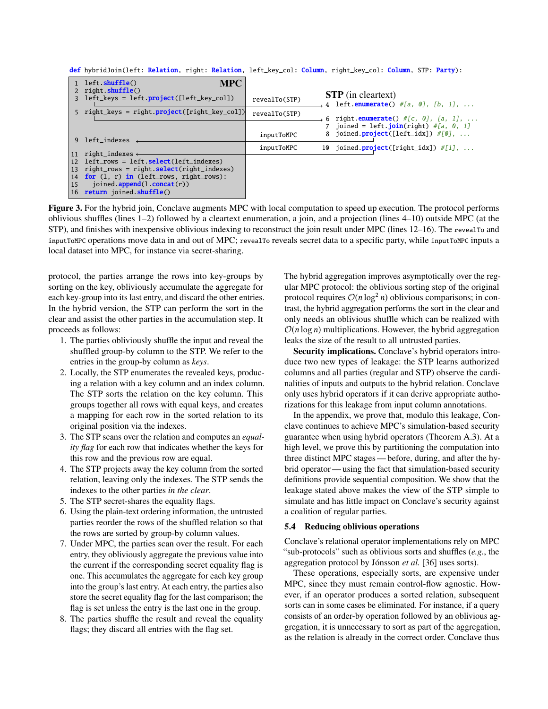|          | <b>MPC</b><br>1 left shuffle()<br>2 right.shuffle()<br>3 left_keys = left.project([left_key_col])<br>5 right_keys = right.project([right_key_col])                                                            | revealTo(STP)<br>revealTo(STP) | <b>STP</b> (in cleartext)<br>4 left. enumerate() #[a, 0], [b, 1],                                                                                                                                                     |
|----------|---------------------------------------------------------------------------------------------------------------------------------------------------------------------------------------------------------------|--------------------------------|-----------------------------------------------------------------------------------------------------------------------------------------------------------------------------------------------------------------------|
| 11       | 9 left indexes<br>right_indexes $\leftarrow$                                                                                                                                                                  | inputToMPC<br>inputToMPC       | 6 right. <b>enumerate</b> () $#[c, 0]$ , $[a, 1]$ ,<br>7 joined = left. $\overline{\text{join}}(\text{right})$ #[a, 0, 1]<br>8 joined.project([left_idx]) $\#[0], \ldots$<br>10 ioined.project([right_idx]) $\#[1]$ , |
| 13<br>15 | 12 left rows = left $select(left$ indexes)<br>$right\_rows = right select(right_indexes)$<br>14 for $(l, r)$ in (left_rows, right_rows):<br>$joined.append(1-concat(r))$<br>16 <b>return</b> joined shuffle() |                                |                                                                                                                                                                                                                       |

<span id="page-8-1"></span>def hybridJoin(left: Relation, right: Relation, left\_key\_col: Column, right\_key\_col: Column, STP: Party):

Figure 3. For the hybrid join, Conclave augments MPC with local computation to speed up execution. The protocol performs oblivious shuffles (lines 1–2) followed by a cleartext enumeration, a join, and a projection (lines 4–10) outside MPC (at the STP), and finishes with inexpensive oblivious indexing to reconstruct the join result under MPC (lines 12–16). The revealTo and inputToMPC operations move data in and out of MPC; revealTo reveals secret data to a specific party, while inputToMPC inputs a local dataset into MPC, for instance via secret-sharing.

protocol, the parties arrange the rows into key-groups by sorting on the key, obliviously accumulate the aggregate for each key-group into its last entry, and discard the other entries. In the hybrid version, the STP can perform the sort in the clear and assist the other parties in the accumulation step. It proceeds as follows:

- <span id="page-8-2"></span>1. The parties obliviously shuffle the input and reveal the shuffled group-by column to the STP. We refer to the entries in the group-by column as *keys*.
- 2. Locally, the STP enumerates the revealed keys, producing a relation with a key column and an index column. The STP sorts the relation on the key column. This groups together all rows with equal keys, and creates a mapping for each row in the sorted relation to its original position via the indexes.
- 3. The STP scans over the relation and computes an *equality flag* for each row that indicates whether the keys for this row and the previous row are equal.
- 4. The STP projects away the key column from the sorted relation, leaving only the indexes. The STP sends the indexes to the other parties *in the clear*.
- <span id="page-8-3"></span>5. The STP secret-shares the equality flags.
- 6. Using the plain-text ordering information, the untrusted parties reorder the rows of the shuffled relation so that the rows are sorted by group-by column values.
- 7. Under MPC, the parties scan over the result. For each entry, they obliviously aggregate the previous value into the current if the corresponding secret equality flag is one. This accumulates the aggregate for each key group into the group's last entry. At each entry, the parties also store the secret equality flag for the last comparison; the flag is set unless the entry is the last one in the group.
- <span id="page-8-4"></span>8. The parties shuffle the result and reveal the equality flags; they discard all entries with the flag set.

The hybrid aggregation improves asymptotically over the regular MPC protocol: the oblivious sorting step of the original protocol requires  $O(n \log^2 n)$  oblivious comparisons; in con-<br>trast, the bybrid aggregation performs the sort in the clear and trast, the hybrid aggregation performs the sort in the clear and only needs an oblivious shuffle which can be realized with  $O(n \log n)$  multiplications. However, the hybrid aggregation leaks the size of the result to all untrusted parties.

Security implications. Conclave's hybrid operators introduce two new types of leakage: the STP learns authorized columns and all parties (regular and STP) observe the cardinalities of inputs and outputs to the hybrid relation. Conclave only uses hybrid operators if it can derive appropriate authorizations for this leakage from input column annotations.

In the appendix, we prove that, modulo this leakage, Conclave continues to achieve MPC's simulation-based security guarantee when using hybrid operators (Theorem [A.3\)](#page-13-0). At a high level, we prove this by partitioning the computation into three distinct MPC stages — before, during, and after the hybrid operator — using the fact that simulation-based security definitions provide sequential composition. We show that the leakage stated above makes the view of the STP simple to simulate and has little impact on Conclave's security against a coalition of regular parties.

## <span id="page-8-0"></span>5.4 Reducing oblivious operations

Conclave's relational operator implementations rely on MPC "sub-protocols" such as oblivious sorts and shuffles (*e.g.*, the aggregation protocol by Jónsson *et al.* [\[36\]](#page-15-4) uses sorts).

These operations, especially sorts, are expensive under MPC, since they must remain control-flow agnostic. However, if an operator produces a sorted relation, subsequent sorts can in some cases be eliminated. For instance, if a query consists of an order-by operation followed by an oblivious aggregation, it is unnecessary to sort as part of the aggregation, as the relation is already in the correct order. Conclave thus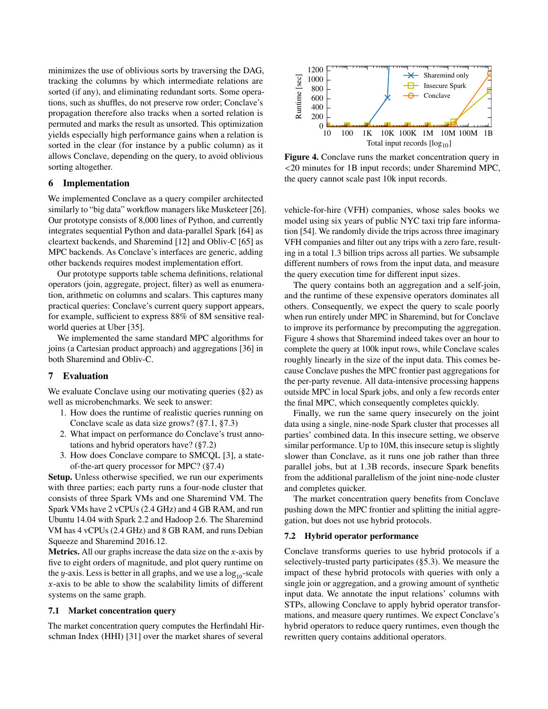minimizes the use of oblivious sorts by traversing the DAG, tracking the columns by which intermediate relations are sorted (if any), and eliminating redundant sorts. Some operations, such as shuffles, do not preserve row order; Conclave's propagation therefore also tracks when a sorted relation is permuted and marks the result as unsorted. This optimization yields especially high performance gains when a relation is sorted in the clear (for instance by a public column) as it allows Conclave, depending on the query, to avoid oblivious sorting altogether.

## <span id="page-9-0"></span>6 Implementation

We implemented Conclave as a query compiler architected similarly to "big data" workflow managers like Musketeer [\[26\]](#page-15-7). Our prototype consists of 8,000 lines of Python, and currently integrates sequential Python and data-parallel Spark [\[64\]](#page-16-3) as cleartext backends, and Sharemind [\[12\]](#page-14-2) and Obliv-C [\[65\]](#page-17-2) as MPC backends. As Conclave's interfaces are generic, adding other backends requires modest implementation effort.

Our prototype supports table schema definitions, relational operators (join, aggregate, project, filter) as well as enumeration, arithmetic on columns and scalars. This captures many practical queries: Conclave's current query support appears, for example, sufficient to express 88% of 8M sensitive realworld queries at Uber [\[35\]](#page-15-5).

We implemented the same standard MPC algorithms for joins (a Cartesian product approach) and aggregations [\[36\]](#page-15-4) in both Sharemind and Obliv-C.

## <span id="page-9-1"></span>7 Evaluation

We evaluate Conclave using our motivating queries ([§2\)](#page-1-0) as well as microbenchmarks. We seek to answer:

- 1. How does the runtime of realistic queries running on Conclave scale as data size grows? ([§7.1,](#page-9-2) [§7.3\)](#page-10-0)
- 2. What impact on performance do Conclave's trust annotations and hybrid operators have? ([§7.2\)](#page-9-3)
- 3. How does Conclave compare to SMCQL [\[3\]](#page-14-0), a stateof-the-art query processor for MPC? ([§7.4\)](#page-10-1)

Setup. Unless otherwise specified, we run our experiments with three parties; each party runs a four-node cluster that consists of three Spark VMs and one Sharemind VM. The Spark VMs have 2 vCPUs (2.4 GHz) and 4 GB RAM, and run Ubuntu 14.04 with Spark 2.2 and Hadoop 2.6. The Sharemind VM has 4 vCPUs (2.4 GHz) and 8 GB RAM, and runs Debian Squeeze and Sharemind 2016.12.

**Metrics.** All our graphs increase the data size on the  $x$ -axis by five to eight orders of magnitude, and plot query runtime on the y-axis. Less is better in all graphs, and we use a  $log_{10}$ -scale x-axis to be able to show the scalability limits of different systems on the same graph.

## <span id="page-9-2"></span>7.1 Market concentration query

The market concentration query computes the Herfindahl Hirschman Index (HHI) [\[31\]](#page-15-9) over the market shares of several

<span id="page-9-4"></span>

Figure 4. Conclave runs the market concentration query in <20 minutes for 1B input records; under Sharemind MPC, the query cannot scale past 10k input records.

vehicle-for-hire (VFH) companies, whose sales books we model using six years of public NYC taxi trip fare information [\[54\]](#page-16-19). We randomly divide the trips across three imaginary VFH companies and filter out any trips with a zero fare, resulting in a total 1.3 billion trips across all parties. We subsample different numbers of rows from the input data, and measure the query execution time for different input sizes.

The query contains both an aggregation and a self-join, and the runtime of these expensive operators dominates all others. Consequently, we expect the query to scale poorly when run entirely under MPC in Sharemind, but for Conclave to improve its performance by precomputing the aggregation. Figure [4](#page-9-4) shows that Sharemind indeed takes over an hour to complete the query at 100k input rows, while Conclave scales roughly linearly in the size of the input data. This comes because Conclave pushes the MPC frontier past aggregations for the per-party revenue. All data-intensive processing happens outside MPC in local Spark jobs, and only a few records enter the final MPC, which consequently completes quickly.

Finally, we run the same query insecurely on the joint data using a single, nine-node Spark cluster that processes all parties' combined data. In this insecure setting, we observe similar performance. Up to 10M, this insecure setup is slightly slower than Conclave, as it runs one job rather than three parallel jobs, but at 1.3B records, insecure Spark benefits from the additional parallelism of the joint nine-node cluster and completes quicker.

The market concentration query benefits from Conclave pushing down the MPC frontier and splitting the initial aggregation, but does not use hybrid protocols.

## <span id="page-9-3"></span>7.2 Hybrid operator performance

Conclave transforms queries to use hybrid protocols if a selectively-trusted party participates ([§5.3\)](#page-7-0). We measure the impact of these hybrid protocols with queries with only a single join or aggregation, and a growing amount of synthetic input data. We annotate the input relations' columns with STPs, allowing Conclave to apply hybrid operator transformations, and measure query runtimes. We expect Conclave's hybrid operators to reduce query runtimes, even though the rewritten query contains additional operators.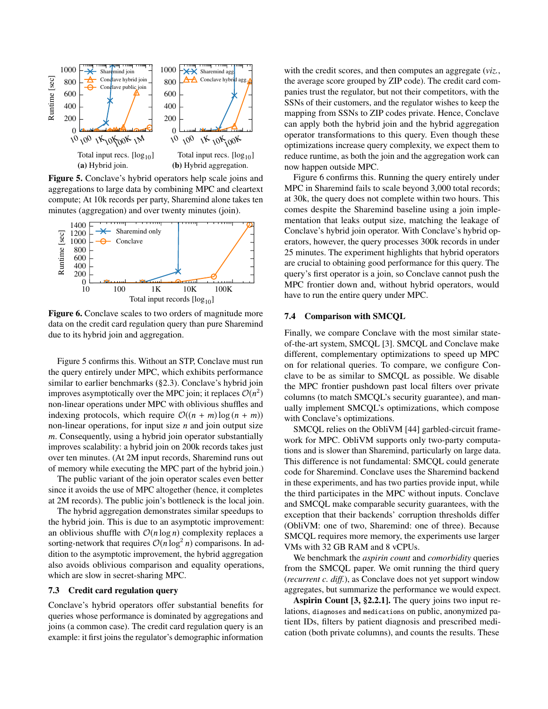<span id="page-10-2"></span>

Figure 5. Conclave's hybrid operators help scale joins and aggregations to large data by combining MPC and cleartext compute; At 10k records per party, Sharemind alone takes ten minutes (aggregation) and over twenty minutes (join).

<span id="page-10-3"></span>

Figure 6. Conclave scales to two orders of magnitude more data on the credit card regulation query than pure Sharemind due to its hybrid join and aggregation.

Figure [5](#page-10-2) confirms this. Without an STP, Conclave must run the query entirely under MPC, which exhibits performance similar to earlier benchmarks ([§2.3\)](#page-2-1). Conclave's hybrid join improves asymptotically over the MPC join; it replaces  $\mathcal{O}(n^2)$ <br>non-linear operations under MPC with oblivious shuffles and non-linear operations under MPC with oblivious shuffles and indexing protocols, which require  $\mathcal{O}((n + m) \log(n + m))$ non-linear operations, for input size  $n$  and join output size m. Consequently, using a hybrid join operator substantially improves scalability: a hybrid join on 200k records takes just over ten minutes. (At 2M input records, Sharemind runs out of memory while executing the MPC part of the hybrid join.)

The public variant of the join operator scales even better since it avoids the use of MPC altogether (hence, it completes at 2M records). The public join's bottleneck is the local join.

The hybrid aggregation demonstrates similar speedups to the hybrid join. This is due to an asymptotic improvement: an oblivious shuffle with  $O(n \log n)$  complexity replaces a sorting-network that requires  $O(n \log^2 n)$  comparisons. In addition to the asymptotic improvement, the bybrid aggregation dition to the asymptotic improvement, the hybrid aggregation also avoids oblivious comparison and equality operations, which are slow in secret-sharing MPC.

## <span id="page-10-0"></span>7.3 Credit card regulation query

Conclave's hybrid operators offer substantial benefits for queries whose performance is dominated by aggregations and joins (a common case). The credit card regulation query is an example: it first joins the regulator's demographic information

with the credit scores, and then computes an aggregate (*viz.*, the average score grouped by ZIP code). The credit card companies trust the regulator, but not their competitors, with the SSNs of their customers, and the regulator wishes to keep the mapping from SSNs to ZIP codes private. Hence, Conclave can apply both the hybrid join and the hybrid aggregation operator transformations to this query. Even though these optimizations increase query complexity, we expect them to reduce runtime, as both the join and the aggregation work can now happen outside MPC.

Figure [6](#page-10-3) confirms this. Running the query entirely under MPC in Sharemind fails to scale beyond 3,000 total records; at 30k, the query does not complete within two hours. This comes despite the Sharemind baseline using a join implementation that leaks output size, matching the leakage of Conclave's hybrid join operator. With Conclave's hybrid operators, however, the query processes 300k records in under 25 minutes. The experiment highlights that hybrid operators are crucial to obtaining good performance for this query. The query's first operator is a join, so Conclave cannot push the MPC frontier down and, without hybrid operators, would have to run the entire query under MPC.

#### <span id="page-10-1"></span>7.4 Comparison with SMCQL

Finally, we compare Conclave with the most similar stateof-the-art system, SMCQL [\[3\]](#page-14-0). SMCQL and Conclave make different, complementary optimizations to speed up MPC on for relational queries. To compare, we configure Conclave to be as similar to SMCQL as possible. We disable the MPC frontier pushdown past local filters over private columns (to match SMCQL's security guarantee), and manually implement SMCQL's optimizations, which compose with Conclave's optimizations.

SMCQL relies on the ObliVM [\[44\]](#page-16-20) garbled-circuit framework for MPC. ObliVM supports only two-party computations and is slower than Sharemind, particularly on large data. This difference is not fundamental: SMCQL could generate code for Sharemind. Conclave uses the Sharemind backend in these experiments, and has two parties provide input, while the third participates in the MPC without inputs. Conclave and SMCQL make comparable security guarantees, with the exception that their backends' corruption thresholds differ (ObliVM: one of two, Sharemind: one of three). Because SMCQL requires more memory, the experiments use larger VMs with 32 GB RAM and 8 vCPUs.

We benchmark the *aspirin count* and *comorbidity* queries from the SMCQL paper. We omit running the third query (*recurrent c. diff.*), as Conclave does not yet support window aggregates, but summarize the performance we would expect.

Aspirin Count [\[3,](#page-14-0) §2.2.1]. The query joins two input relations, diagnoses and medications on public, anonymized patient IDs, filters by patient diagnosis and prescribed medication (both private columns), and counts the results. These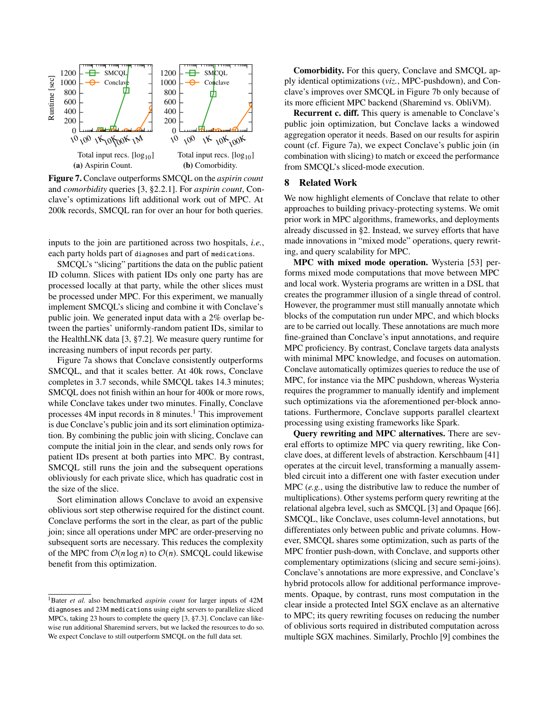<span id="page-11-0"></span>

Figure 7. Conclave outperforms SMCQL on the *aspirin count* and *comorbidity* queries [\[3,](#page-14-0) §2.2.1]. For *aspirin count*, Conclave's optimizations lift additional work out of MPC. At 200k records, SMCQL ran for over an hour for both queries.

inputs to the join are partitioned across two hospitals, *i.e.*, each party holds part of diagnoses and part of medications.

SMCQL's "slicing" partitions the data on the public patient ID column. Slices with patient IDs only one party has are processed locally at that party, while the other slices must be processed under MPC. For this experiment, we manually implement SMCQL's slicing and combine it with Conclave's public join. We generated input data with a 2% overlap between the parties' uniformly-random patient IDs, similar to the HealthLNK data [\[3,](#page-14-0) §7.2]. We measure query runtime for increasing numbers of input records per party.

Figure [7a](#page-11-0) shows that Conclave consistently outperforms SMCQL, and that it scales better. At 40k rows, Conclave completes in 3.7 seconds, while SMCQL takes 14.3 minutes; SMCQL does not finish within an hour for 400k or more rows, while Conclave takes under two minutes. Finally, Conclave processes 4M input records in 8 minutes.<sup>[1](#page-0-0)</sup> This improvement is due Conclave's public join and its sort elimination optimization. By combining the public join with slicing, Conclave can compute the initial join in the clear, and sends only rows for patient IDs present at both parties into MPC. By contrast, SMCQL still runs the join and the subsequent operations obliviously for each private slice, which has quadratic cost in the size of the slice.

Sort elimination allows Conclave to avoid an expensive oblivious sort step otherwise required for the distinct count. Conclave performs the sort in the clear, as part of the public join; since all operations under MPC are order-preserving no subsequent sorts are necessary. This reduces the complexity of the MPC from  $\mathcal{O}(n \log n)$  to  $\mathcal{O}(n)$ . SMCQL could likewise benefit from this optimization.

Comorbidity. For this query, Conclave and SMCQL apply identical optimizations (*viz.*, MPC-pushdown), and Conclave's improves over SMCQL in Figure [7b](#page-11-0) only because of its more efficient MPC backend (Sharemind vs. ObliVM).

**Recurrent c. diff.** This query is amenable to Conclave's public join optimization, but Conclave lacks a windowed aggregation operator it needs. Based on our results for aspirin count (cf. Figure [7a\)](#page-11-0), we expect Conclave's public join (in combination with slicing) to match or exceed the performance from SMCQL's sliced-mode execution.

## 8 Related Work

We now highlight elements of Conclave that relate to other approaches to building privacy-protecting systems. We omit prior work in MPC algorithms, frameworks, and deployments already discussed in [§2.](#page-1-0) Instead, we survey efforts that have made innovations in "mixed mode" operations, query rewriting, and query scalability for MPC.

MPC with mixed mode operation. Wysteria [\[53\]](#page-16-21) performs mixed mode computations that move between MPC and local work. Wysteria programs are written in a DSL that creates the programmer illusion of a single thread of control. However, the programmer must still manually annotate which blocks of the computation run under MPC, and which blocks are to be carried out locally. These annotations are much more fine-grained than Conclave's input annotations, and require MPC proficiency. By contrast, Conclave targets data analysts with minimal MPC knowledge, and focuses on automation. Conclave automatically optimizes queries to reduce the use of MPC, for instance via the MPC pushdown, whereas Wysteria requires the programmer to manually identify and implement such optimizations via the aforementioned per-block annotations. Furthermore, Conclave supports parallel cleartext processing using existing frameworks like Spark.

Query rewriting and MPC alternatives. There are several efforts to optimize MPC via query rewriting, like Conclave does, at different levels of abstraction. Kerschbaum [\[41\]](#page-15-10) operates at the circuit level, transforming a manually assembled circuit into a different one with faster execution under MPC (*e.g.*, using the distributive law to reduce the number of multiplications). Other systems perform query rewriting at the relational algebra level, such as SMCQL [\[3\]](#page-14-0) and Opaque [\[66\]](#page-17-1). SMCQL, like Conclave, uses column-level annotations, but differentiates only between public and private columns. However, SMCQL shares some optimization, such as parts of the MPC frontier push-down, with Conclave, and supports other complementary optimizations (slicing and secure semi-joins). Conclave's annotations are more expressive, and Conclave's hybrid protocols allow for additional performance improvements. Opaque, by contrast, runs most computation in the clear inside a protected Intel SGX enclave as an alternative to MPC; its query rewriting focuses on reducing the number of oblivious sorts required in distributed computation across multiple SGX machines. Similarly, Prochlo [\[9\]](#page-14-15) combines the

<sup>1</sup>Bater *et al.* also benchmarked *aspirin count* for larger inputs of 42M diagnoses and 23M medications using eight servers to parallelize sliced MPCs, taking 23 hours to complete the query [\[3,](#page-14-0) §7.3]. Conclave can likewise run additional Sharemind servers, but we lacked the resources to do so. We expect Conclave to still outperform SMCQL on the full data set.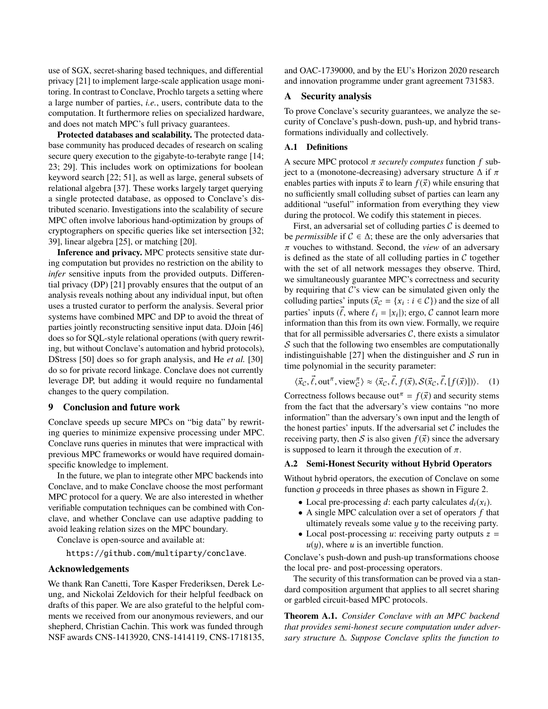use of SGX, secret-sharing based techniques, and differential privacy [\[21\]](#page-15-11) to implement large-scale application usage monitoring. In contrast to Conclave, Prochlo targets a setting where a large number of parties, *i.e.*, users, contribute data to the computation. It furthermore relies on specialized hardware, and does not match MPC's full privacy guarantees.

Protected databases and scalability. The protected database community has produced decades of research on scaling secure query execution to the gigabyte-to-terabyte range [\[14;](#page-14-16) [23;](#page-15-12) [29\]](#page-15-13). This includes work on optimizations for boolean keyword search [\[22;](#page-15-14) [51\]](#page-16-22), as well as large, general subsets of relational algebra [\[37\]](#page-15-15). These works largely target querying a single protected database, as opposed to Conclave's distributed scenario. Investigations into the scalability of secure MPC often involve laborious hand-optimization by groups of cryptographers on specific queries like set intersection [\[32;](#page-15-16) [39\]](#page-15-17), linear algebra [\[25\]](#page-15-18), or matching [\[20\]](#page-15-19).

Inference and privacy. MPC protects sensitive state during computation but provides no restriction on the ability to *infer* sensitive inputs from the provided outputs. Differential privacy (DP) [\[21\]](#page-15-11) provably ensures that the output of an analysis reveals nothing about any individual input, but often uses a trusted curator to perform the analysis. Several prior systems have combined MPC and DP to avoid the threat of parties jointly reconstructing sensitive input data. DJoin [\[46\]](#page-16-0) does so for SQL-style relational operations (with query rewriting, but without Conclave's automation and hybrid protocols), DStress [\[50\]](#page-16-1) does so for graph analysis, and He *et al.* [\[30\]](#page-15-20) do so for private record linkage. Conclave does not currently leverage DP, but adding it would require no fundamental changes to the query compilation.

#### 9 Conclusion and future work

Conclave speeds up secure MPCs on "big data" by rewriting queries to minimize expensive processing under MPC. Conclave runs queries in minutes that were impractical with previous MPC frameworks or would have required domainspecific knowledge to implement.

In the future, we plan to integrate other MPC backends into Conclave, and to make Conclave choose the most performant MPC protocol for a query. We are also interested in whether verifiable computation techniques can be combined with Conclave, and whether Conclave can use adaptive padding to avoid leaking relation sizes on the MPC boundary.

Conclave is open-source and available at:

<https://github.com/multiparty/conclave>.

## Acknowledgements

We thank Ran Canetti, Tore Kasper Frederiksen, Derek Leung, and Nickolai Zeldovich for their helpful feedback on drafts of this paper. We are also grateful to the helpful comments we received from our anonymous reviewers, and our shepherd, Christian Cachin. This work was funded through NSF awards CNS-1413920, CNS-1414119, CNS-1718135,

and OAC-1739000, and by the EU's Horizon 2020 research and innovation programme under grant agreement 731583.

## A Security analysis

To prove Conclave's security guarantees, we analyze the security of Conclave's push-down, push-up, and hybrid transformations individually and collectively.

# A.1 Definitions

A secure MPC protocol π *securely computes* function f subject to a (monotone-decreasing) adversary structure  $\Delta$  if  $\pi$ enables parties with inputs  $\vec{x}$  to learn  $f(\vec{x})$  while ensuring that no sufficiently small colluding subset of parties can learn any additional "useful" information from everything they view during the protocol. We codify this statement in pieces.

First, an adversarial set of colluding parties  $\mathcal C$  is deemed to be *permissible* if  $C \in \Delta$ ; these are the only adversaries that π vouches to withstand. Second, the *view* of an adversary is defined as the state of all colluding parties in  $\mathcal C$  together with the set of all network messages they observe. Third, we simultaneously guarantee MPC's correctness and security by requiring that  $\mathcal{C}'$ 's view can be simulated given only the colluding parties' inputs ( $\vec{x}_c = \{x_i : i \in C\}$ ) and the size of all<br>parties' inputs ( $\vec{\ell}$  where  $\ell = |x|$ ); ergo  $\ell$  cannot learn more parties' inputs  $(\vec{\ell}, \text{where } \ell_i = |x_i|)$ ; ergo,  $\mathcal{C}$  cannot learn more information than this from its own view Formally, we require information than this from its own view. Formally, we require that for all permissible adversaries  $C$ , there exists a simulator  $S$  such that the following two ensembles are computationally indistinguishable [\[27\]](#page-15-21) when the distinguisher and  $S$  run in time polynomial in the security parameter:

<span id="page-12-1"></span>
$$
\langle \vec{x}_C, \vec{\ell}, \text{out}^{\pi}, \text{view}^{\pi}_C \rangle \approx \langle \vec{x}_C, \vec{\ell}, f(\vec{x}), \mathcal{S}(\vec{x}_C, \vec{\ell}, [f(\vec{x})]) \rangle.
$$
 (1)

Correctness follows because out<sup> $\pi = f(\vec{x})$ </sup> and security stems from the fact that the adversary's view contains "no more from the fact that the adversary's view contains "no more information" than the adversary's own input and the length of the honest parties' inputs. If the adversarial set  $C$  includes the receiving party, then S is also given  $f(\vec{x})$  since the adversary is supposed to learn it through the execution of  $\pi$ .

#### A.2 Semi-Honest Security without Hybrid Operators

Without hybrid operators, the execution of Conclave on some function q proceeds in three phases as shown in Figure [2.](#page-5-1)

- Local pre-processing d: each party calculates  $d_i(x_i)$ .
- A single MPC calculation over a set of operators  $f$  that ultimately reveals some value  $y$  to the receiving party.
- Local post-processing u: receiving party outputs  $z =$  $u(y)$ , where u is an invertible function.

Conclave's push-down and push-up transformations choose the local pre- and post-processing operators.

The security of this transformation can be proved via a standard composition argument that applies to all secret sharing or garbled circuit-based MPC protocols.

<span id="page-12-0"></span>Theorem A.1. *Consider Conclave with an MPC backend that provides semi-honest secure computation under adversary structure* ∆*. Suppose Conclave splits the function to*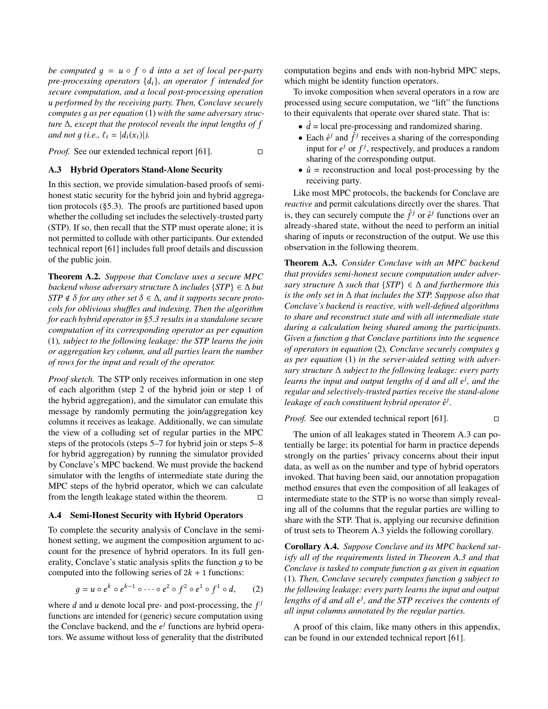*be computed* д <sup>=</sup> u ◦ f ◦ d *into a set of local per-party pre-processing operators* {di }*, an operator* <sup>f</sup> *intended for secure computation, and a local post-processing operation* u *performed by the receiving party. Then, Conclave securely computes* д *as per equation* [\(1\)](#page-12-1) *with the same adversary structure* ∆*, except that the protocol reveals the input lengths of* f *and not q* (*i.e.*,  $\ell_i = |d_i(x_i)|$ ).

*Proof.* See our extended technical report [\[61\]](#page-16-13). □

## A.3 Hybrid Operators Stand-Alone Security

In this section, we provide simulation-based proofs of semihonest static security for the hybrid join and hybrid aggregation protocols ([§5.3\)](#page-7-0). The proofs are partitioned based upon whether the colluding set includes the selectively-trusted party (STP). If so, then recall that the STP must operate alone; it is not permitted to collude with other participants. Our extended technical report [\[61\]](#page-16-13) includes full proof details and discussion of the public join.

Theorem A.2. *Suppose that Conclave uses a secure MPC backend whose adversary structure* ∆ *includes* {*STP*} ∈ ∆ *but*  $STP \notin \delta$  *for any other set*  $\delta \in \Delta$ *, and it supports secure protocols for oblivious shuffles and indexing. Then the algorithm for each hybrid operator in [§5.3](#page-7-0) results in a standalone secure computation of its corresponding operator as per equation* [\(1\)](#page-12-1)*, subject to the following leakage: the STP learns the join or aggregation key column, and all parties learn the number of rows for the input and result of the operator.*

*Proof sketch.* The STP only receives information in one step of each algorithm (step [2](#page-7-1) of the hybrid join or step [1](#page-8-2) of the hybrid aggregation), and the simulator can emulate this message by randomly permuting the join/aggregation key columns it receives as leakage. Additionally, we can simulate the view of a colluding set of regular parties in the MPC steps of the protocols (steps [5–](#page-7-2)[7](#page-7-3) for hybrid join or steps [5](#page-8-3)[–8](#page-8-4) for hybrid aggregation) by running the simulator provided by Conclave's MPC backend. We must provide the backend simulator with the lengths of intermediate state during the MPC steps of the hybrid operator, which we can calculate from the length leakage stated within the theorem.  $□$ 

## A.4 Semi-Honest Security with Hybrid Operators

To complete the security analysis of Conclave in the semihonest setting, we augment the composition argument to account for the presence of hybrid operators. In its full generality, Conclave's static analysis splits the function  $q$  to be computed into the following series of  $2k + 1$  functions:

<span id="page-13-1"></span>
$$
g = u \circ e^{k} \circ e^{k-1} \circ \cdots \circ e^{2} \circ f^{2} \circ e^{1} \circ f^{1} \circ d, \qquad (2)
$$

where *d* and *u* denote local pre- and post-processing, the  $f^j$ <br>functions are intended for (generic) secure computation using functions are intended for (generic) secure computation using the Conclave backend, and the  $e^{j}$  functions are hybrid operators. We assume without loss of generality that the distributed tors. We assume without loss of generality that the distributed

computation begins and ends with non-hybrid MPC steps, which might be identity function operators.

To invoke composition when several operators in a row are processed using secure computation, we "lift" the functions to their equivalents that operate over shared state. That is:

- $\hat{d}$  = local pre-processing and randomized sharing.
- Each  $\hat{e}^j$  and  $\hat{f}^j$  receives a sharing of the corresponding<br>input for  $e^j$  or  $f^j$  respectively and produces a random input for  $e^j$  or  $f^j$ , respectively, and produces a random<br>sharing of the corresponding output sharing of the corresponding output.
- $\hat{u}$  = reconstruction and local post-processing by the receiving party.

Like most MPC protocols, the backends for Conclave are *reactive* and permit calculations directly over the shares. That is, they can securely compute the  $\hat{f}^j$  or  $\hat{e}^j$  functions over an initial already-shared state, without the need to perform an initial sharing of inputs or reconstruction of the output. We use this observation in the following theorem.

<span id="page-13-0"></span>Theorem A.3. *Consider Conclave with an MPC backend that provides semi-honest secure computation under adversary structure* ∆ *such that* {*STP*} ∈ ∆ *and furthermore this is the only set in* ∆ *that includes the STP. Suppose also that Conclave's backend is reactive, with well-defined algorithms to share and reconstruct state and with all intermediate state during a calculation being shared among the participants. Given a function* д *that Conclave partitions into the sequence of operators in equation* [\(2\)](#page-13-1)*, Conclave securely computes* д *as per equation* [\(1\)](#page-12-1) *in the server-aided setting with adversary structure* ∆ *subject to the following leakage: every party learns the input and output lengths of d and all e<sup>j</sup>, and the*<br>reqular and selectively-trusted parties receive the stand-alone *regular and selectively-trusted parties receive the stand-alone* leakage of each constituent hybrid operator  $\hat{e}^j$ .

*Proof.* See our extended technical report [\[61\]](#page-16-13). □

The union of all leakages stated in Theorem [A.3](#page-13-0) can potentially be large; its potential for harm in practice depends strongly on the parties' privacy concerns about their input data, as well as on the number and type of hybrid operators invoked. That having been said, our annotation propagation method ensures that even the composition of all leakages of intermediate state to the STP is no worse than simply revealing all of the columns that the regular parties are willing to share with the STP. That is, applying our recursive definition of trust sets to Theorem [A.3](#page-13-0) yields the following corollary.

Corollary A.4. *Suppose Conclave and its MPC backend satisfy all of the requirements listed in Theorem [A.3](#page-13-0) and that Conclave is tasked to compute function* д *as given in equation* [\(1\)](#page-12-1)*. Then, Conclave securely computes function* д *subject to the following leakage: every party learns the input and output lengths of* d *and all* e j *, and the STP receives the contents of all input columns annotated by the regular parties.*

A proof of this claim, like many others in this appendix, can be found in our extended technical report [\[61\]](#page-16-13).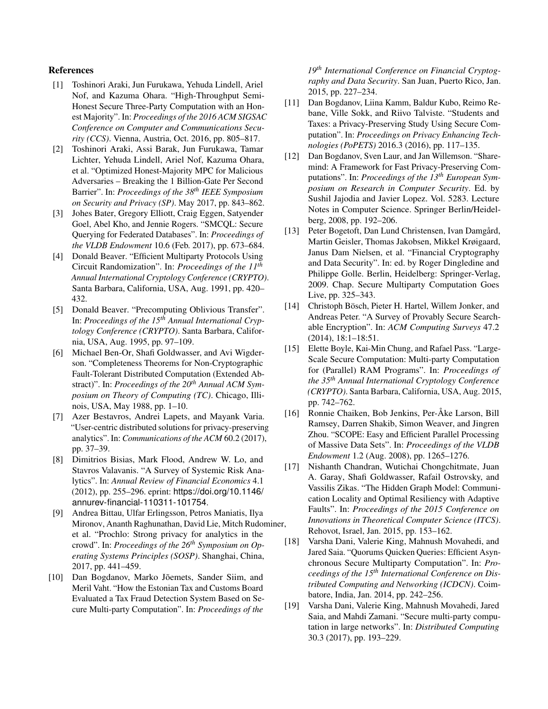## References

- <span id="page-14-8"></span>[1] Toshinori Araki, Jun Furukawa, Yehuda Lindell, Ariel Nof, and Kazuma Ohara. "High-Throughput Semi-Honest Secure Three-Party Computation with an Honest Majority". In: *Proceedings of the 2016 ACM SIGSAC Conference on Computer and Communications Security (CCS)*. Vienna, Austria, Oct. 2016, pp. 805–817.
- <span id="page-14-9"></span>[2] Toshinori Araki, Assi Barak, Jun Furukawa, Tamar Lichter, Yehuda Lindell, Ariel Nof, Kazuma Ohara, et al. "Optimized Honest-Majority MPC for Malicious Adversaries – Breaking the 1 Billion-Gate Per Second Barrier". In: *Proceedings of the 38th IEEE Symposium on Security and Privacy (SP)*. May 2017, pp. 843–862.
- <span id="page-14-0"></span>[3] Johes Bater, Gregory Elliott, Craig Eggen, Satyender Goel, Abel Kho, and Jennie Rogers. "SMCQL: Secure Querying for Federated Databases". In: *Proceedings of the VLDB Endowment* 10.6 (Feb. 2017), pp. 673–684.
- <span id="page-14-13"></span>[4] Donald Beaver. "Efficient Multiparty Protocols Using Circuit Randomization". In: *Proceedings of the 11th Annual International Cryptology Conference (CRYPTO)*. Santa Barbara, California, USA, Aug. 1991, pp. 420– 432.
- [5] Donald Beaver. "Precomputing Oblivious Transfer". In: *Proceedings of the 15th Annual International Cryptology Conference (CRYPTO)*. Santa Barbara, California, USA, Aug. 1995, pp. 97–109.
- <span id="page-14-7"></span>[6] Michael Ben-Or, Shafi Goldwasser, and Avi Wigderson. "Completeness Theorems for Non-Cryptographic Fault-Tolerant Distributed Computation (Extended Abstract)". In: *Proceedings of the 20th Annual ACM Symposium on Theory of Computing (TC)*. Chicago, Illinois, USA, May 1988, pp. 1–10.
- <span id="page-14-6"></span>[7] Azer Bestavros, Andrei Lapets, and Mayank Varia. "User-centric distributed solutions for privacy-preserving analytics". In: *Communications of the ACM* 60.2 (2017), pp. 37–39.
- <span id="page-14-1"></span>[8] Dimitrios Bisias, Mark Flood, Andrew W. Lo, and Stavros Valavanis. "A Survey of Systemic Risk Analytics". In: *Annual Review of Financial Economics* 4.1 (2012), pp. 255–296. eprint: [https://doi.org/10.1146/](https://doi.org/10.1146/annurev-financial-110311-101754) [annurev-financial-110311-101754](https://doi.org/10.1146/annurev-financial-110311-101754).
- <span id="page-14-15"></span>[9] Andrea Bittau, Ulfar Erlingsson, Petros Maniatis, Ilya Mironov, Ananth Raghunathan, David Lie, Mitch Rudominer, et al. "Prochlo: Strong privacy for analytics in the crowd". In: *Proceedings of the 26th Symposium on Operating Systems Principles (SOSP)*. Shanghai, China, 2017, pp. 441–459.
- <span id="page-14-3"></span>[10] Dan Bogdanov, Marko Jõemets, Sander Siim, and Meril Vaht. "How the Estonian Tax and Customs Board Evaluated a Tax Fraud Detection System Based on Secure Multi-party Computation". In: *Proceedings of the*

*19th International Conference on Financial Cryptography and Data Security*. San Juan, Puerto Rico, Jan. 2015, pp. 227–234.

- <span id="page-14-5"></span>[11] Dan Bogdanov, Liina Kamm, Baldur Kubo, Reimo Rebane, Ville Sokk, and Riivo Talviste. "Students and Taxes: a Privacy-Preserving Study Using Secure Computation". In: *Proceedings on Privacy Enhancing Technologies (PoPETS)* 2016.3 (2016), pp. 117–135.
- <span id="page-14-2"></span>[12] Dan Bogdanov, Sven Laur, and Jan Willemson. "Sharemind: A Framework for Fast Privacy-Preserving Computations". In: *Proceedings of the 13th European Symposium on Research in Computer Security*. Ed. by Sushil Jajodia and Javier Lopez. Vol. 5283. Lecture Notes in Computer Science. Springer Berlin/Heidelberg, 2008, pp. 192–206.
- <span id="page-14-4"></span>[13] Peter Bogetoft, Dan Lund Christensen, Ivan Damgård, Martin Geisler, Thomas Jakobsen, Mikkel Krøigaard, Janus Dam Nielsen, et al. "Financial Cryptography and Data Security". In: ed. by Roger Dingledine and Philippe Golle. Berlin, Heidelberg: Springer-Verlag, 2009. Chap. Secure Multiparty Computation Goes Live, pp. 325–343.
- <span id="page-14-16"></span>[14] Christoph Bösch, Pieter H. Hartel, Willem Jonker, and Andreas Peter. "A Survey of Provably Secure Searchable Encryption". In: *ACM Computing Surveys* 47.2 (2014), 18:1–18:51.
- <span id="page-14-10"></span>[15] Elette Boyle, Kai-Min Chung, and Rafael Pass. "Large-Scale Secure Computation: Multi-party Computation for (Parallel) RAM Programs". In: *Proceedings of the 35th Annual International Cryptology Conference (CRYPTO)*. Santa Barbara, California, USA, Aug. 2015, pp. 742–762.
- <span id="page-14-14"></span>[16] Ronnie Chaiken, Bob Jenkins, Per-Åke Larson, Bill Ramsey, Darren Shakib, Simon Weaver, and Jingren Zhou. "SCOPE: Easy and Efficient Parallel Processing of Massive Data Sets". In: *Proceedings of the VLDB Endowment* 1.2 (Aug. 2008), pp. 1265–1276.
- <span id="page-14-11"></span>[17] Nishanth Chandran, Wutichai Chongchitmate, Juan A. Garay, Shafi Goldwasser, Rafail Ostrovsky, and Vassilis Zikas. "The Hidden Graph Model: Communication Locality and Optimal Resiliency with Adaptive Faults". In: *Proceedings of the 2015 Conference on Innovations in Theoretical Computer Science (ITCS)*. Rehovot, Israel, Jan. 2015, pp. 153–162.
- [18] Varsha Dani, Valerie King, Mahnush Movahedi, and Jared Saia. "Quorums Quicken Queries: Efficient Asynchronous Secure Multiparty Computation". In: *Proceedings of the 15th International Conference on Distributed Computing and Networking (ICDCN)*. Coimbatore, India, Jan. 2014, pp. 242–256.
- <span id="page-14-12"></span>[19] Varsha Dani, Valerie King, Mahnush Movahedi, Jared Saia, and Mahdi Zamani. "Secure multi-party computation in large networks". In: *Distributed Computing* 30.3 (2017), pp. 193–229.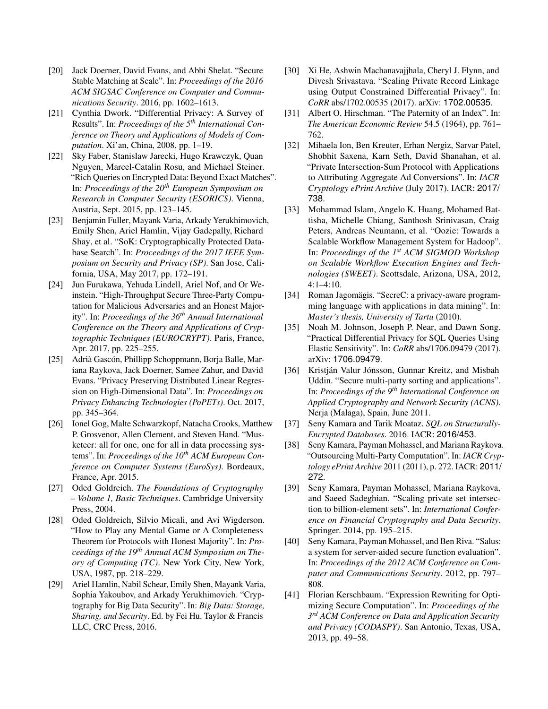- <span id="page-15-19"></span>[20] Jack Doerner, David Evans, and Abhi Shelat. "Secure Stable Matching at Scale". In: *Proceedings of the 2016 ACM SIGSAC Conference on Computer and Communications Security*. 2016, pp. 1602–1613.
- <span id="page-15-11"></span>[21] Cynthia Dwork. "Differential Privacy: A Survey of Results". In: *Proceedings of the 5th International Conference on Theory and Applications of Models of Computation*. Xi'an, China, 2008, pp. 1–19.
- <span id="page-15-14"></span>[22] Sky Faber, Stanislaw Jarecki, Hugo Krawczyk, Quan Nguyen, Marcel-Catalin Rosu, and Michael Steiner. "Rich Queries on Encrypted Data: Beyond Exact Matches". In: *Proceedings of the 20th European Symposium on Research in Computer Security (ESORICS)*. Vienna, Austria, Sept. 2015, pp. 123–145.
- <span id="page-15-12"></span>[23] Benjamin Fuller, Mayank Varia, Arkady Yerukhimovich, Emily Shen, Ariel Hamlin, Vijay Gadepally, Richard Shay, et al. "SoK: Cryptographically Protected Database Search". In: *Proceedings of the 2017 IEEE Symposium on Security and Privacy (SP)*. San Jose, California, USA, May 2017, pp. 172–191.
- <span id="page-15-3"></span>[24] Jun Furukawa, Yehuda Lindell, Ariel Nof, and Or Weinstein. "High-Throughput Secure Three-Party Computation for Malicious Adversaries and an Honest Majority". In: *Proceedings of the 36th Annual International Conference on the Theory and Applications of Cryptographic Techniques (EUROCRYPT)*. Paris, France, Apr. 2017, pp. 225–255.
- <span id="page-15-18"></span>[25] Adrià Gascón, Phillipp Schoppmann, Borja Balle, Mariana Raykova, Jack Doerner, Samee Zahur, and David Evans. "Privacy Preserving Distributed Linear Regression on High-Dimensional Data". In: *Proceedings on Privacy Enhancing Technologies (PoPETs)*. Oct. 2017, pp. 345–364.
- <span id="page-15-7"></span>[26] Ionel Gog, Malte Schwarzkopf, Natacha Crooks, Matthew P. Grosvenor, Allen Clement, and Steven Hand. "Musketeer: all for one, one for all in data processing systems". In: *Proceedings of the 10th ACM European Conference on Computer Systems (EuroSys)*. Bordeaux, France, Apr. 2015.
- <span id="page-15-21"></span>[27] Oded Goldreich. *The Foundations of Cryptography – Volume 1, Basic Techniques*. Cambridge University Press, 2004.
- <span id="page-15-2"></span>[28] Oded Goldreich, Silvio Micali, and Avi Wigderson. "How to Play any Mental Game or A Completeness Theorem for Protocols with Honest Majority". In: *Proceedings of the 19th Annual ACM Symposium on Theory of Computing (TC)*. New York City, New York, USA, 1987, pp. 218–229.
- <span id="page-15-13"></span>[29] Ariel Hamlin, Nabil Schear, Emily Shen, Mayank Varia, Sophia Yakoubov, and Arkady Yerukhimovich. "Cryptography for Big Data Security". In: *Big Data: Storage, Sharing, and Security*. Ed. by Fei Hu. Taylor & Francis LLC, CRC Press, 2016.
- <span id="page-15-20"></span>[30] Xi He, Ashwin Machanavajjhala, Cheryl J. Flynn, and Divesh Srivastava. "Scaling Private Record Linkage using Output Constrained Differential Privacy". In: *CoRR* abs/1702.00535 (2017). arXiv: [1702.00535](http://arxiv.org/abs/1702.00535).
- <span id="page-15-9"></span>[31] Albert O. Hirschman. "The Paternity of an Index". In: *The American Economic Review* 54.5 (1964), pp. 761– 762.
- <span id="page-15-16"></span>[32] Mihaela Ion, Ben Kreuter, Erhan Nergiz, Sarvar Patel, Shobhit Saxena, Karn Seth, David Shanahan, et al. "Private Intersection-Sum Protocol with Applications to Attributing Aggregate Ad Conversions". In: *IACR Cryptology ePrint Archive* (July 2017). IACR: [2017/](2017/738) [738](2017/738).
- <span id="page-15-6"></span>[33] Mohammad Islam, Angelo K. Huang, Mohamed Battisha, Michelle Chiang, Santhosh Srinivasan, Craig Peters, Andreas Neumann, et al. "Oozie: Towards a Scalable Workflow Management System for Hadoop". In: *Proceedings of the 1st ACM SIGMOD Workshop on Scalable Workflow Execution Engines and Technologies (SWEET)*. Scottsdale, Arizona, USA, 2012, 4:1–4:10.
- <span id="page-15-8"></span>[34] Roman Jagomägis. "SecreC: a privacy-aware programming language with applications in data mining". In: *Master's thesis, University of Tartu* (2010).
- <span id="page-15-5"></span>[35] Noah M. Johnson, Joseph P. Near, and Dawn Song. "Practical Differential Privacy for SQL Queries Using Elastic Sensitivity". In: *CoRR* abs/1706.09479 (2017). arXiv: [1706.09479](http://arxiv.org/abs/1706.09479).
- <span id="page-15-4"></span>[36] Kristján Valur Jónsson, Gunnar Kreitz, and Misbah Uddin. "Secure multi-party sorting and applications". In: *Proceedings of the 9th International Conference on Applied Cryptography and Network Security (ACNS)*. Nerja (Malaga), Spain, June 2011.
- <span id="page-15-15"></span>[37] Seny Kamara and Tarik Moataz. *SQL on Structurally-Encrypted Databases*. 2016. IACR: <2016/453>.
- <span id="page-15-0"></span>[38] Seny Kamara, Payman Mohassel, and Mariana Raykova. "Outsourcing Multi-Party Computation". In: *IACR Cryptology ePrint Archive* 2011 (2011), p. 272. IACR: [2011/](2011/272) [272](2011/272).
- <span id="page-15-17"></span>[39] Seny Kamara, Payman Mohassel, Mariana Raykova, and Saeed Sadeghian. "Scaling private set intersection to billion-element sets". In: *International Conference on Financial Cryptography and Data Security*. Springer. 2014, pp. 195–215.
- <span id="page-15-1"></span>[40] Seny Kamara, Payman Mohassel, and Ben Riva. "Salus: a system for server-aided secure function evaluation". In: *Proceedings of the 2012 ACM Conference on Computer and Communications Security*. 2012, pp. 797– 808.
- <span id="page-15-10"></span>[41] Florian Kerschbaum. "Expression Rewriting for Optimizing Secure Computation". In: *Proceedings of the 3 rd ACM Conference on Data and Application Security and Privacy (CODASPY)*. San Antonio, Texas, USA, 2013, pp. 49–58.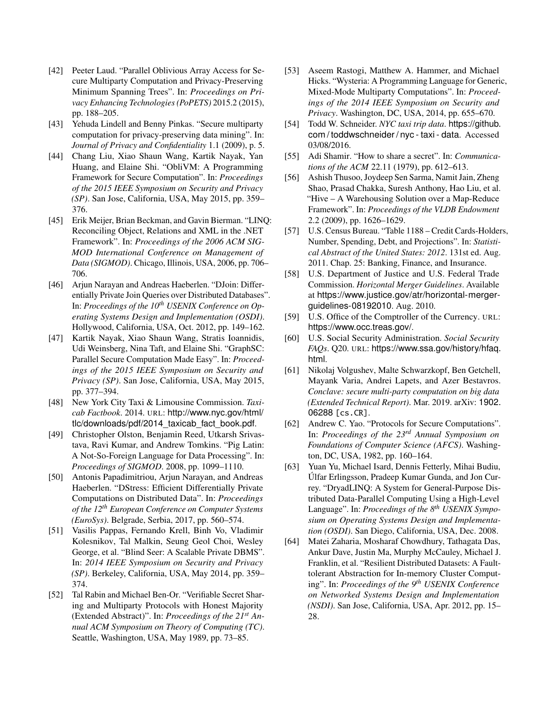- <span id="page-16-18"></span>[42] Peeter Laud. "Parallel Oblivious Array Access for Secure Multiparty Computation and Privacy-Preserving Minimum Spanning Trees". In: *Proceedings on Privacy Enhancing Technologies (PoPETS)* 2015.2 (2015), pp. 188–205.
- <span id="page-16-9"></span>[43] Yehuda Lindell and Benny Pinkas. "Secure multiparty computation for privacy-preserving data mining". In: *Journal of Privacy and Confidentiality* 1.1 (2009), p. 5.
- <span id="page-16-20"></span>[44] Chang Liu, Xiao Shaun Wang, Kartik Nayak, Yan Huang, and Elaine Shi. "ObliVM: A Programming Framework for Secure Computation". In: *Proceedings of the 2015 IEEE Symposium on Security and Privacy (SP)*. San Jose, California, USA, May 2015, pp. 359– 376.
- <span id="page-16-16"></span>[45] Erik Meijer, Brian Beckman, and Gavin Bierman. "LINQ: Reconciling Object, Relations and XML in the .NET Framework". In: *Proceedings of the 2006 ACM SIG-MOD International Conference on Management of Data (SIGMOD)*. Chicago, Illinois, USA, 2006, pp. 706– 706.
- <span id="page-16-0"></span>[46] Arjun Narayan and Andreas Haeberlen. "DJoin: Differentially Private Join Queries over Distributed Databases". In: *Proceedings of the 10th USENIX Conference on Operating Systems Design and Implementation (OSDI)*. Hollywood, California, USA, Oct. 2012, pp. 149–162.
- <span id="page-16-2"></span>[47] Kartik Nayak, Xiao Shaun Wang, Stratis Ioannidis, Udi Weinsberg, Nina Taft, and Elaine Shi. "GraphSC: Parallel Secure Computation Made Easy". In: *Proceedings of the 2015 IEEE Symposium on Security and Privacy (SP)*. San Jose, California, USA, May 2015, pp. 377–394.
- <span id="page-16-8"></span>[48] New York City Taxi & Limousine Commission. *Taxicab Factbook*. 2014. URL: [http://www.nyc.gov/html/](http://www.nyc.gov/html/tlc/downloads/pdf/2014_taxicab_fact_book.pdf) [tlc/downloads/pdf/2014\\_taxicab\\_fact\\_book.pdf](http://www.nyc.gov/html/tlc/downloads/pdf/2014_taxicab_fact_book.pdf).
- <span id="page-16-15"></span>[49] Christopher Olston, Benjamin Reed, Utkarsh Srivastava, Ravi Kumar, and Andrew Tomkins. "Pig Latin: A Not-So-Foreign Language for Data Processing". In: *Proceedings of SIGMOD*. 2008, pp. 1099–1110.
- <span id="page-16-1"></span>[50] Antonis Papadimitriou, Arjun Narayan, and Andreas Haeberlen. "DStress: Efficient Differentially Private Computations on Distributed Data". In: *Proceedings of the 12th European Conference on Computer Systems (EuroSys)*. Belgrade, Serbia, 2017, pp. 560–574.
- <span id="page-16-22"></span>[51] Vasilis Pappas, Fernando Krell, Binh Vo, Vladimir Kolesnikov, Tal Malkin, Seung Geol Choi, Wesley George, et al. "Blind Seer: A Scalable Private DBMS". In: *2014 IEEE Symposium on Security and Privacy (SP)*. Berkeley, California, USA, May 2014, pp. 359– 374.
- <span id="page-16-10"></span>[52] Tal Rabin and Michael Ben-Or. "Verifiable Secret Sharing and Multiparty Protocols with Honest Majority (Extended Abstract)". In: *Proceedings of the 21st Annual ACM Symposium on Theory of Computing (TC)*. Seattle, Washington, USA, May 1989, pp. 73–85.
- <span id="page-16-21"></span>[53] Aseem Rastogi, Matthew A. Hammer, and Michael Hicks. "Wysteria: A Programming Language for Generic, Mixed-Mode Multiparty Computations". In: *Proceedings of the 2014 IEEE Symposium on Security and Privacy*. Washington, DC, USA, 2014, pp. 655–670.
- <span id="page-16-19"></span>[54] Todd W. Schneider. *NYC taxi trip data*. [https://github.](https://github.com/toddwschneider/nyc-taxi-data) [com / toddwschneider / nyc - taxi - data](https://github.com/toddwschneider/nyc-taxi-data). Accessed 03/08/2016.
- <span id="page-16-12"></span>[55] Adi Shamir. "How to share a secret". In: *Communications of the ACM* 22.11 (1979), pp. 612–613.
- <span id="page-16-14"></span>[56] Ashish Thusoo, Joydeep Sen Sarma, Namit Jain, Zheng Shao, Prasad Chakka, Suresh Anthony, Hao Liu, et al. "Hive – A Warehousing Solution over a Map-Reduce Framework". In: *Proceedings of the VLDB Endowment* 2.2 (2009), pp. 1626–1629.
- <span id="page-16-6"></span>[57] U.S. Census Bureau. "Table 1188 – Credit Cards-Holders, Number, Spending, Debt, and Projections". In: *Statistical Abstract of the United States: 2012*. 131st ed. Aug. 2011. Chap. 25: Banking, Finance, and Insurance.
- <span id="page-16-7"></span>[58] U.S. Department of Justice and U.S. Federal Trade Commission. *Horizontal Merger Guidelines*. Available at [https://www.justice.gov/atr/horizontal-merger](https://www.justice.gov/atr/horizontal-merger-guidelines-08192010)[guidelines-08192010](https://www.justice.gov/atr/horizontal-merger-guidelines-08192010). Aug. 2010.
- <span id="page-16-4"></span>[59] U.S. Office of the Comptroller of the Currency. URL: <https://www.occ.treas.gov/>.
- <span id="page-16-5"></span>[60] U.S. Social Security Administration. *Social Security FAQs*. Q20. URL: [https://www.ssa.gov/history/hfaq.](https://www.ssa.gov/history/hfaq.html) [html](https://www.ssa.gov/history/hfaq.html).
- <span id="page-16-13"></span>[61] Nikolaj Volgushev, Malte Schwarzkopf, Ben Getchell, Mayank Varia, Andrei Lapets, and Azer Bestavros. *Conclave: secure multi-party computation on big data (Extended Technical Report)*. Mar. 2019. arXiv: [1902.](http://arxiv.org/abs/1902.06288) 06288 [\[cs.CR\]](http://arxiv.org/abs/1902.06288).
- <span id="page-16-11"></span>[62] Andrew C. Yao. "Protocols for Secure Computations". In: *Proceedings of the 23rd Annual Symposium on Foundations of Computer Science (AFCS)*. Washington, DC, USA, 1982, pp. 160–164.
- <span id="page-16-17"></span>[63] Yuan Yu, Michael Isard, Dennis Fetterly, Mihai Budiu, Úlfar Erlingsson, Pradeep Kumar Gunda, and Jon Currey. "DryadLINQ: A System for General-Purpose Distributed Data-Parallel Computing Using a High-Level Language". In: *Proceedings of the 8th USENIX Symposium on Operating Systems Design and Implementation (OSDI)*. San Diego, California, USA, Dec. 2008.
- <span id="page-16-3"></span>[64] Matei Zaharia, Mosharaf Chowdhury, Tathagata Das, Ankur Dave, Justin Ma, Murphy McCauley, Michael J. Franklin, et al. "Resilient Distributed Datasets: A Faulttolerant Abstraction for In-memory Cluster Computing". In: *Proceedings of the 9th USENIX Conference on Networked Systems Design and Implementation (NSDI)*. San Jose, California, USA, Apr. 2012, pp. 15– 28.